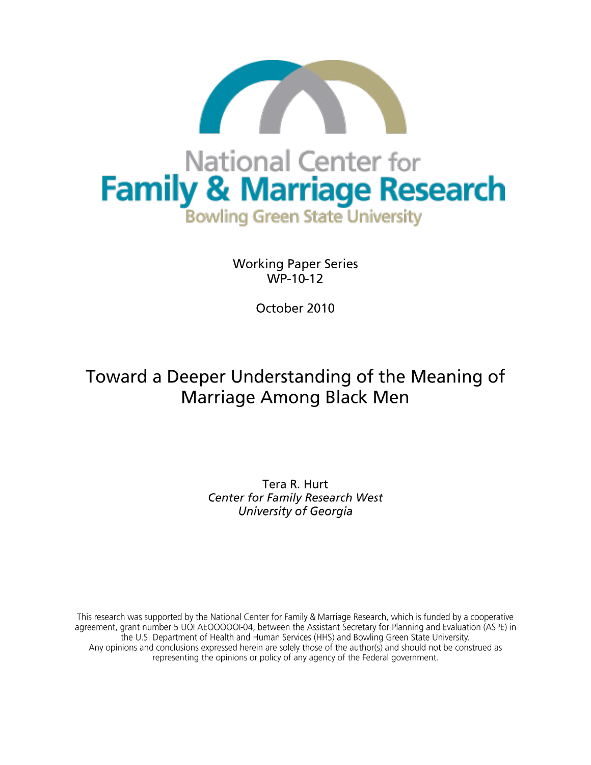

**Working Paper Series**  $WP-10-12$ 

October 2010

# Toward a Deeper Understanding of the Meaning of **Marriage Among Black Men**

Tera R. Hurt **Center for Family Research West** University of Georgia

This research was supported by the National Center for Family & Marriage Research, which is funded by a cooperative agreement, grant number 5 UOI AEOOOOOI-04, between the Assistant Secretary for Planning and Evaluation (ASPE) in the U.S. Department of Health and Human Services (HHS) and Bowling Green State University. Any opinions and conclusions expressed herein are solely those of the author(s) and should not be construed as representing the opinions or policy of any agency of the Federal government.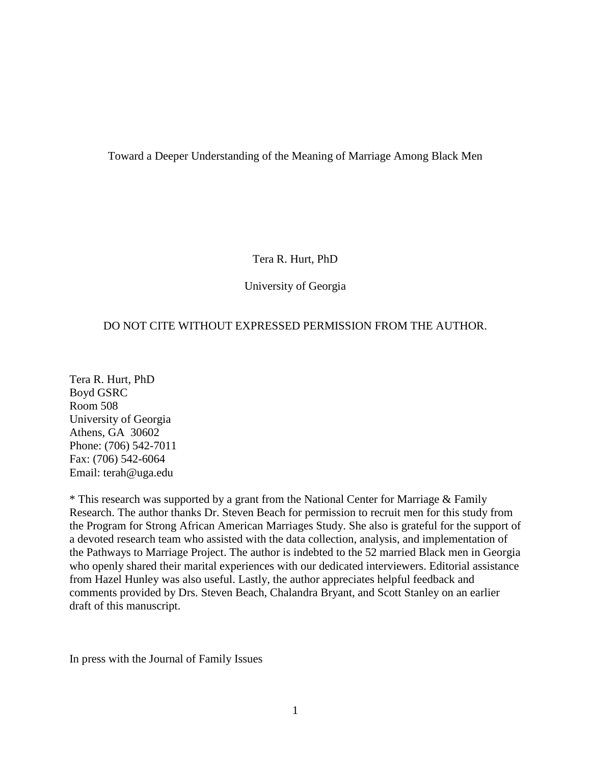Toward a Deeper Understanding of the Meaning of Marriage Among Black Men

Tera R. Hurt, PhD

University of Georgia

# DO NOT CITE WITHOUT EXPRESSED PERMISSION FROM THE AUTHOR.

Tera R. Hurt, PhD Boyd GSRC Room 508 University of Georgia Athens, GA 30602 Phone: (706) 542-7011 Fax: (706) 542-6064 Email: terah@uga.edu

\* This research was supported by a grant from the National Center for Marriage & Family Research. The author thanks Dr. Steven Beach for permission to recruit men for this study from the Program for Strong African American Marriages Study. She also is grateful for the support of a devoted research team who assisted with the data collection, analysis, and implementation of the Pathways to Marriage Project. The author is indebted to the 52 married Black men in Georgia who openly shared their marital experiences with our dedicated interviewers. Editorial assistance from Hazel Hunley was also useful. Lastly, the author appreciates helpful feedback and comments provided by Drs. Steven Beach, Chalandra Bryant, and Scott Stanley on an earlier draft of this manuscript.

In press with the Journal of Family Issues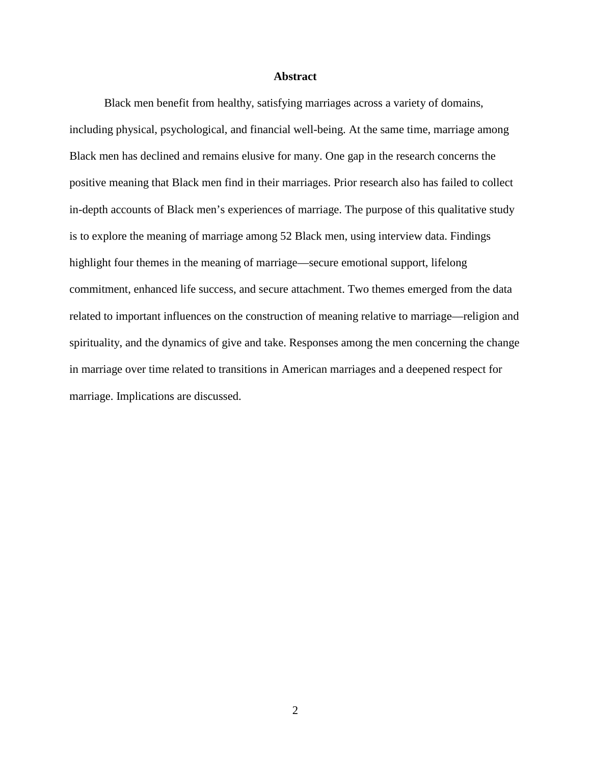# **Abstract**

Black men benefit from healthy, satisfying marriages across a variety of domains, including physical, psychological, and financial well-being. At the same time, marriage among Black men has declined and remains elusive for many. One gap in the research concerns the positive meaning that Black men find in their marriages. Prior research also has failed to collect in-depth accounts of Black men's experiences of marriage. The purpose of this qualitative study is to explore the meaning of marriage among 52 Black men, using interview data. Findings highlight four themes in the meaning of marriage—secure emotional support, lifelong commitment, enhanced life success, and secure attachment. Two themes emerged from the data related to important influences on the construction of meaning relative to marriage—religion and spirituality, and the dynamics of give and take. Responses among the men concerning the change in marriage over time related to transitions in American marriages and a deepened respect for marriage. Implications are discussed.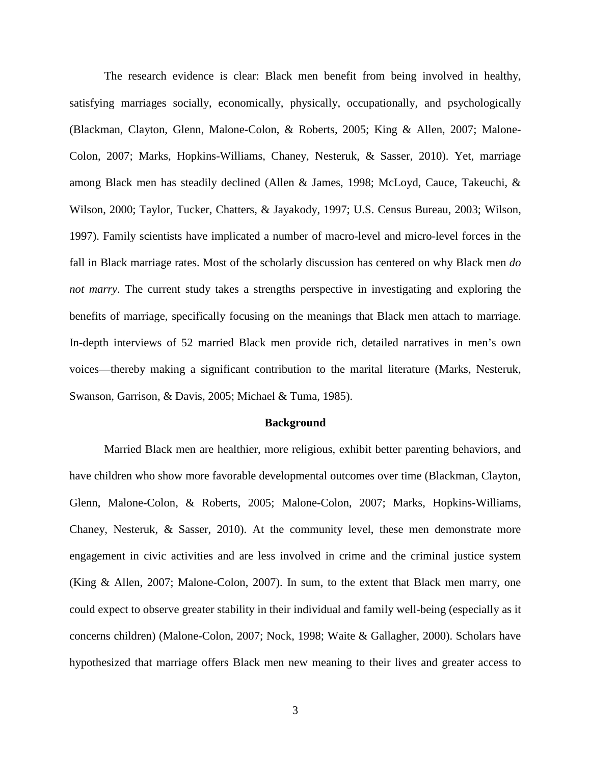The research evidence is clear: Black men benefit from being involved in healthy, satisfying marriages socially, economically, physically, occupationally, and psychologically (Blackman, Clayton, Glenn, Malone-Colon, & Roberts, 2005; King & Allen, 2007; Malone-Colon, 2007; Marks, Hopkins-Williams, Chaney, Nesteruk, & Sasser, 2010). Yet, marriage among Black men has steadily declined (Allen & James, 1998; McLoyd, Cauce, Takeuchi, & Wilson, 2000; Taylor, Tucker, Chatters, & Jayakody, 1997; U.S. Census Bureau, 2003; Wilson, 1997). Family scientists have implicated a number of macro-level and micro-level forces in the fall in Black marriage rates. Most of the scholarly discussion has centered on why Black men *do not marry*. The current study takes a strengths perspective in investigating and exploring the benefits of marriage, specifically focusing on the meanings that Black men attach to marriage. In-depth interviews of 52 married Black men provide rich, detailed narratives in men's own voices—thereby making a significant contribution to the marital literature (Marks, Nesteruk, Swanson, Garrison, & Davis, 2005; Michael & Tuma, 1985).

#### **Background**

Married Black men are healthier, more religious, exhibit better parenting behaviors, and have children who show more favorable developmental outcomes over time (Blackman, Clayton, Glenn, Malone-Colon, & Roberts, 2005; Malone-Colon, 2007; Marks, Hopkins-Williams, Chaney, Nesteruk, & Sasser, 2010). At the community level, these men demonstrate more engagement in civic activities and are less involved in crime and the criminal justice system (King & Allen, 2007; Malone-Colon, 2007). In sum, to the extent that Black men marry, one could expect to observe greater stability in their individual and family well-being (especially as it concerns children) (Malone-Colon, 2007; Nock, 1998; Waite & Gallagher, 2000). Scholars have hypothesized that marriage offers Black men new meaning to their lives and greater access to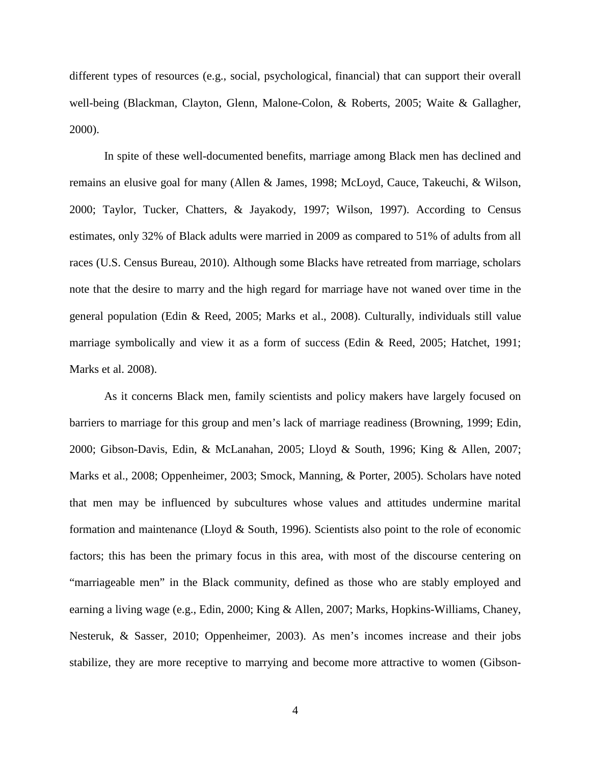different types of resources (e.g., social, psychological, financial) that can support their overall well-being (Blackman, Clayton, Glenn, Malone-Colon, & Roberts, 2005; Waite & Gallagher, 2000).

In spite of these well-documented benefits, marriage among Black men has declined and remains an elusive goal for many (Allen & James, 1998; McLoyd, Cauce, Takeuchi, & Wilson, 2000; Taylor, Tucker, Chatters, & Jayakody, 1997; Wilson, 1997). According to Census estimates, only 32% of Black adults were married in 2009 as compared to 51% of adults from all races (U.S. Census Bureau, 2010). Although some Blacks have retreated from marriage, scholars note that the desire to marry and the high regard for marriage have not waned over time in the general population (Edin & Reed, 2005; Marks et al., 2008). Culturally, individuals still value marriage symbolically and view it as a form of success (Edin & Reed, 2005; Hatchet, 1991; Marks et al. 2008).

As it concerns Black men, family scientists and policy makers have largely focused on barriers to marriage for this group and men's lack of marriage readiness (Browning, 1999; Edin, 2000; Gibson-Davis, Edin, & McLanahan, 2005; Lloyd & South, 1996; King & Allen, 2007; Marks et al., 2008; Oppenheimer, 2003; Smock, Manning, & Porter, 2005). Scholars have noted that men may be influenced by subcultures whose values and attitudes undermine marital formation and maintenance (Lloyd & South, 1996). Scientists also point to the role of economic factors; this has been the primary focus in this area, with most of the discourse centering on "marriageable men" in the Black community, defined as those who are stably employed and earning a living wage (e.g., Edin, 2000; King & Allen, 2007; Marks, Hopkins-Williams, Chaney, Nesteruk, & Sasser, 2010; Oppenheimer, 2003). As men's incomes increase and their jobs stabilize, they are more receptive to marrying and become more attractive to women (Gibson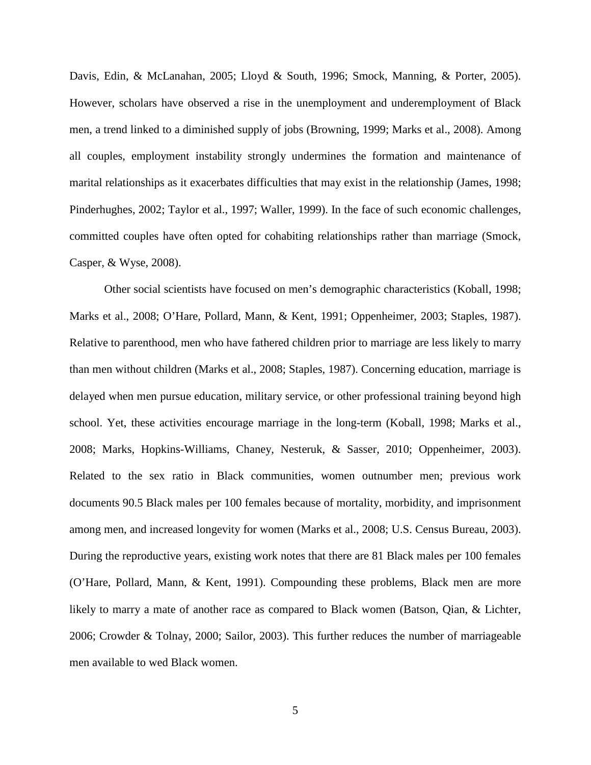Davis, Edin, & McLanahan, 2005; Lloyd & South, 1996; Smock, Manning, & Porter, 2005). However, scholars have observed a rise in the unemployment and underemployment of Black men, a trend linked to a diminished supply of jobs (Browning, 1999; Marks et al., 2008). Among all couples, employment instability strongly undermines the formation and maintenance of marital relationships as it exacerbates difficulties that may exist in the relationship (James, 1998; Pinderhughes, 2002; Taylor et al., 1997; Waller, 1999). In the face of such economic challenges, committed couples have often opted for cohabiting relationships rather than marriage (Smock, Casper, & Wyse, 2008).

Other social scientists have focused on men's demographic characteristics (Koball, 1998; Marks et al., 2008; O'Hare, Pollard, Mann, & Kent, 1991; Oppenheimer, 2003; Staples, 1987). Relative to parenthood, men who have fathered children prior to marriage are less likely to marry than men without children (Marks et al., 2008; Staples, 1987). Concerning education, marriage is delayed when men pursue education, military service, or other professional training beyond high school. Yet, these activities encourage marriage in the long-term (Koball, 1998; Marks et al., 2008; Marks, Hopkins-Williams, Chaney, Nesteruk, & Sasser, 2010; Oppenheimer, 2003). Related to the sex ratio in Black communities, women outnumber men; previous work documents 90.5 Black males per 100 females because of mortality, morbidity, and imprisonment among men, and increased longevity for women (Marks et al., 2008; U.S. Census Bureau, 2003). During the reproductive years, existing work notes that there are 81 Black males per 100 females (O'Hare, Pollard, Mann, & Kent, 1991). Compounding these problems, Black men are more likely to marry a mate of another race as compared to Black women (Batson, Qian, & Lichter, 2006; Crowder & Tolnay, 2000; Sailor, 2003). This further reduces the number of marriageable men available to wed Black women.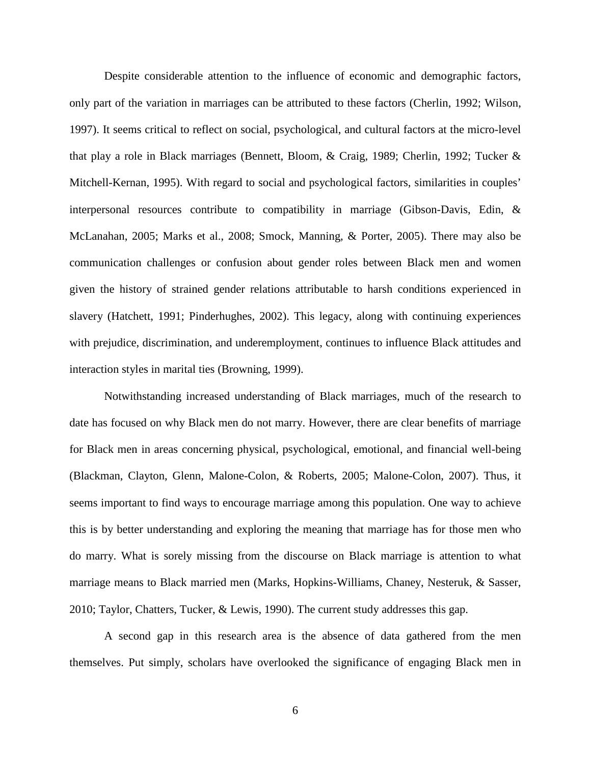Despite considerable attention to the influence of economic and demographic factors, only part of the variation in marriages can be attributed to these factors (Cherlin, 1992; Wilson, 1997). It seems critical to reflect on social, psychological, and cultural factors at the micro-level that play a role in Black marriages (Bennett, Bloom, & Craig, 1989; Cherlin, 1992; Tucker & Mitchell-Kernan, 1995). With regard to social and psychological factors, similarities in couples' interpersonal resources contribute to compatibility in marriage (Gibson-Davis, Edin, & McLanahan, 2005; Marks et al., 2008; Smock, Manning, & Porter, 2005). There may also be communication challenges or confusion about gender roles between Black men and women given the history of strained gender relations attributable to harsh conditions experienced in slavery (Hatchett, 1991; Pinderhughes, 2002). This legacy, along with continuing experiences with prejudice, discrimination, and underemployment, continues to influence Black attitudes and interaction styles in marital ties (Browning, 1999).

Notwithstanding increased understanding of Black marriages, much of the research to date has focused on why Black men do not marry. However, there are clear benefits of marriage for Black men in areas concerning physical, psychological, emotional, and financial well-being (Blackman, Clayton, Glenn, Malone-Colon, & Roberts, 2005; Malone-Colon, 2007). Thus, it seems important to find ways to encourage marriage among this population. One way to achieve this is by better understanding and exploring the meaning that marriage has for those men who do marry. What is sorely missing from the discourse on Black marriage is attention to what marriage means to Black married men (Marks, Hopkins-Williams, Chaney, Nesteruk, & Sasser, 2010; Taylor, Chatters, Tucker, & Lewis, 1990). The current study addresses this gap.

A second gap in this research area is the absence of data gathered from the men themselves. Put simply, scholars have overlooked the significance of engaging Black men in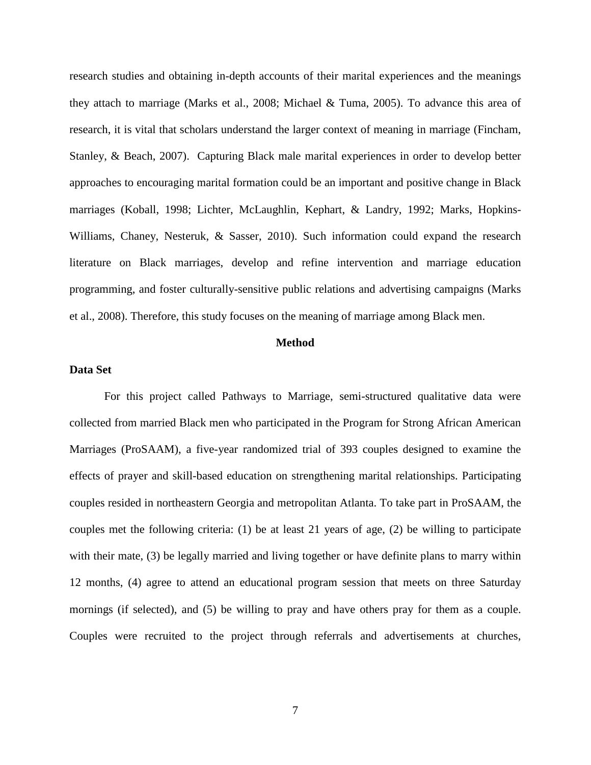research studies and obtaining in-depth accounts of their marital experiences and the meanings they attach to marriage (Marks et al., 2008; Michael & Tuma, 2005). To advance this area of research, it is vital that scholars understand the larger context of meaning in marriage (Fincham, Stanley, & Beach, 2007). Capturing Black male marital experiences in order to develop better approaches to encouraging marital formation could be an important and positive change in Black marriages (Koball, 1998; Lichter, McLaughlin, Kephart, & Landry, 1992; Marks, Hopkins-Williams, Chaney, Nesteruk, & Sasser, 2010). Such information could expand the research literature on Black marriages, develop and refine intervention and marriage education programming, and foster culturally-sensitive public relations and advertising campaigns (Marks et al., 2008). Therefore, this study focuses on the meaning of marriage among Black men.

## **Method**

# **Data Set**

For this project called Pathways to Marriage, semi-structured qualitative data were collected from married Black men who participated in the Program for Strong African American Marriages (ProSAAM), a five-year randomized trial of 393 couples designed to examine the effects of prayer and skill-based education on strengthening marital relationships. Participating couples resided in northeastern Georgia and metropolitan Atlanta. To take part in ProSAAM, the couples met the following criteria: (1) be at least 21 years of age, (2) be willing to participate with their mate, (3) be legally married and living together or have definite plans to marry within 12 months, (4) agree to attend an educational program session that meets on three Saturday mornings (if selected), and (5) be willing to pray and have others pray for them as a couple. Couples were recruited to the project through referrals and advertisements at churches,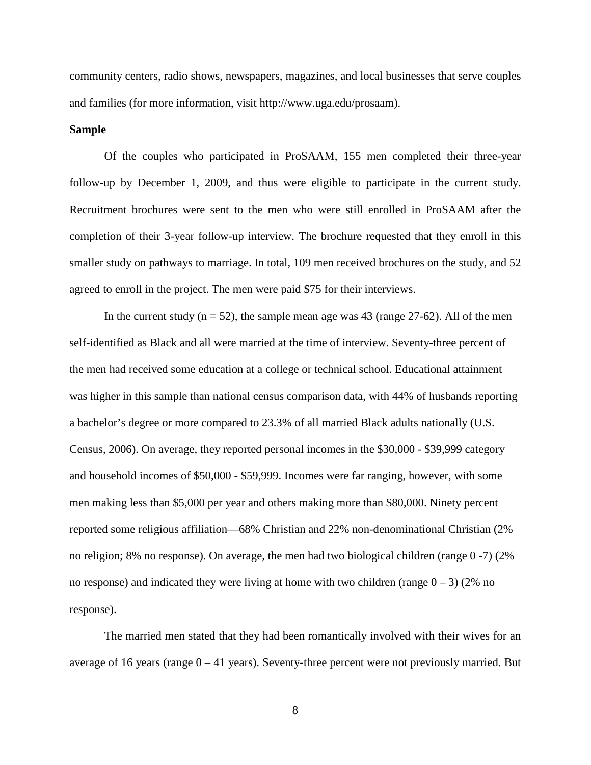community centers, radio shows, newspapers, magazines, and local businesses that serve couples and families (for more information, visit http://www.uga.edu/prosaam).

# **Sample**

Of the couples who participated in ProSAAM, 155 men completed their three-year follow-up by December 1, 2009, and thus were eligible to participate in the current study. Recruitment brochures were sent to the men who were still enrolled in ProSAAM after the completion of their 3-year follow-up interview. The brochure requested that they enroll in this smaller study on pathways to marriage. In total, 109 men received brochures on the study, and 52 agreed to enroll in the project. The men were paid \$75 for their interviews.

In the current study  $(n = 52)$ , the sample mean age was 43 (range 27-62). All of the men self-identified as Black and all were married at the time of interview. Seventy-three percent of the men had received some education at a college or technical school. Educational attainment was higher in this sample than national census comparison data, with 44% of husbands reporting a bachelor's degree or more compared to 23.3% of all married Black adults nationally (U.S. Census, 2006). On average, they reported personal incomes in the \$30,000 - \$39,999 category and household incomes of \$50,000 - \$59,999. Incomes were far ranging, however, with some men making less than \$5,000 per year and others making more than \$80,000. Ninety percent reported some religious affiliation—68% Christian and 22% non-denominational Christian (2% no religion; 8% no response). On average, the men had two biological children (range 0 -7) (2% no response) and indicated they were living at home with two children (range  $0 - 3$ ) (2% no response).

The married men stated that they had been romantically involved with their wives for an average of 16 years (range  $0 - 41$  years). Seventy-three percent were not previously married. But

8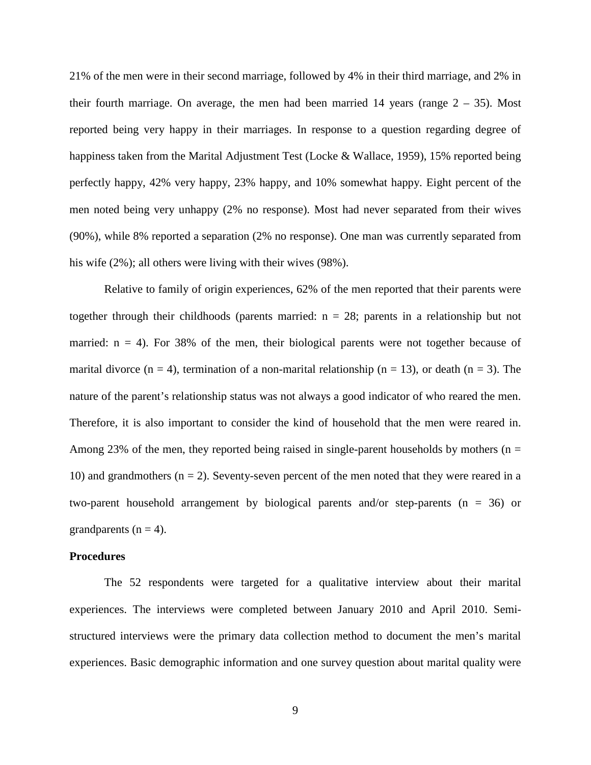21% of the men were in their second marriage, followed by 4% in their third marriage, and 2% in their fourth marriage. On average, the men had been married 14 years (range  $2 - 35$ ). Most reported being very happy in their marriages. In response to a question regarding degree of happiness taken from the Marital Adjustment Test (Locke & Wallace, 1959), 15% reported being perfectly happy, 42% very happy, 23% happy, and 10% somewhat happy. Eight percent of the men noted being very unhappy (2% no response). Most had never separated from their wives (90%), while 8% reported a separation (2% no response). One man was currently separated from his wife (2%); all others were living with their wives (98%).

Relative to family of origin experiences, 62% of the men reported that their parents were together through their childhoods (parents married:  $n = 28$ ; parents in a relationship but not married:  $n = 4$ ). For 38% of the men, their biological parents were not together because of marital divorce  $(n = 4)$ , termination of a non-marital relationship  $(n = 13)$ , or death  $(n = 3)$ . The nature of the parent's relationship status was not always a good indicator of who reared the men. Therefore, it is also important to consider the kind of household that the men were reared in. Among 23% of the men, they reported being raised in single-parent households by mothers ( $n =$ 10) and grandmothers  $(n = 2)$ . Seventy-seven percent of the men noted that they were reared in a two-parent household arrangement by biological parents and/or step-parents  $(n = 36)$  or grandparents  $(n = 4)$ .

#### **Procedures**

The 52 respondents were targeted for a qualitative interview about their marital experiences. The interviews were completed between January 2010 and April 2010. Semistructured interviews were the primary data collection method to document the men's marital experiences. Basic demographic information and one survey question about marital quality were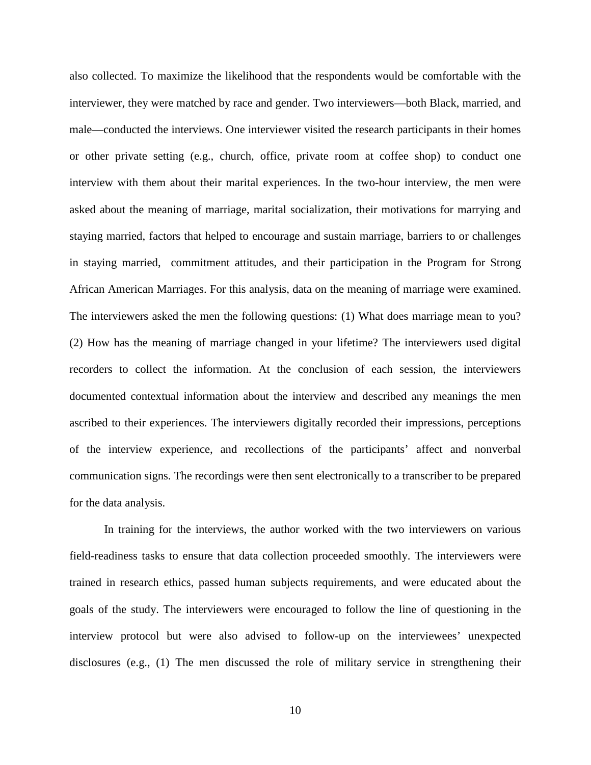also collected. To maximize the likelihood that the respondents would be comfortable with the interviewer, they were matched by race and gender. Two interviewers—both Black, married, and male—conducted the interviews. One interviewer visited the research participants in their homes or other private setting (e.g., church, office, private room at coffee shop) to conduct one interview with them about their marital experiences. In the two-hour interview, the men were asked about the meaning of marriage, marital socialization, their motivations for marrying and staying married, factors that helped to encourage and sustain marriage, barriers to or challenges in staying married, commitment attitudes, and their participation in the Program for Strong African American Marriages. For this analysis, data on the meaning of marriage were examined. The interviewers asked the men the following questions: (1) What does marriage mean to you? (2) How has the meaning of marriage changed in your lifetime? The interviewers used digital recorders to collect the information. At the conclusion of each session, the interviewers documented contextual information about the interview and described any meanings the men ascribed to their experiences. The interviewers digitally recorded their impressions, perceptions of the interview experience, and recollections of the participants' affect and nonverbal communication signs. The recordings were then sent electronically to a transcriber to be prepared for the data analysis.

In training for the interviews, the author worked with the two interviewers on various field-readiness tasks to ensure that data collection proceeded smoothly. The interviewers were trained in research ethics, passed human subjects requirements, and were educated about the goals of the study. The interviewers were encouraged to follow the line of questioning in the interview protocol but were also advised to follow-up on the interviewees' unexpected disclosures (e.g., (1) The men discussed the role of military service in strengthening their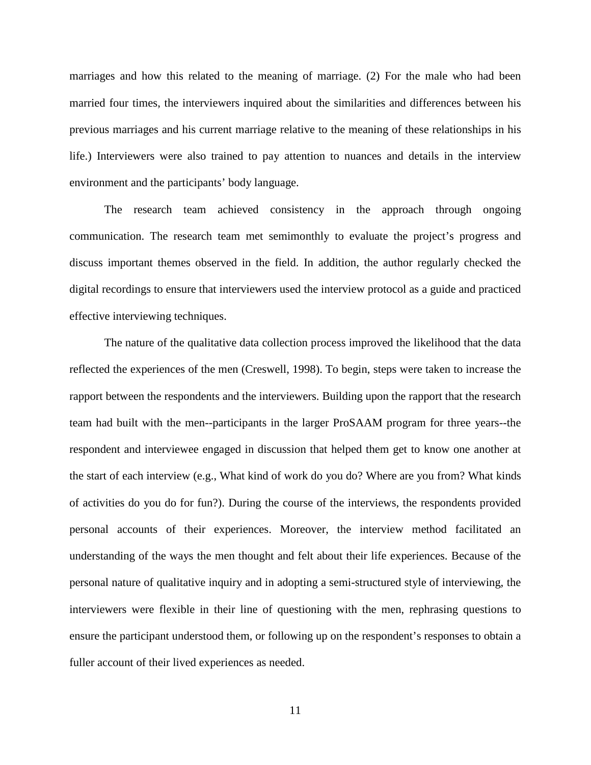marriages and how this related to the meaning of marriage. (2) For the male who had been married four times, the interviewers inquired about the similarities and differences between his previous marriages and his current marriage relative to the meaning of these relationships in his life.) Interviewers were also trained to pay attention to nuances and details in the interview environment and the participants' body language.

The research team achieved consistency in the approach through ongoing communication. The research team met semimonthly to evaluate the project's progress and discuss important themes observed in the field. In addition, the author regularly checked the digital recordings to ensure that interviewers used the interview protocol as a guide and practiced effective interviewing techniques.

The nature of the qualitative data collection process improved the likelihood that the data reflected the experiences of the men (Creswell, 1998). To begin, steps were taken to increase the rapport between the respondents and the interviewers. Building upon the rapport that the research team had built with the men--participants in the larger ProSAAM program for three years--the respondent and interviewee engaged in discussion that helped them get to know one another at the start of each interview (e.g., What kind of work do you do? Where are you from? What kinds of activities do you do for fun?). During the course of the interviews, the respondents provided personal accounts of their experiences. Moreover, the interview method facilitated an understanding of the ways the men thought and felt about their life experiences. Because of the personal nature of qualitative inquiry and in adopting a semi-structured style of interviewing, the interviewers were flexible in their line of questioning with the men, rephrasing questions to ensure the participant understood them, or following up on the respondent's responses to obtain a fuller account of their lived experiences as needed.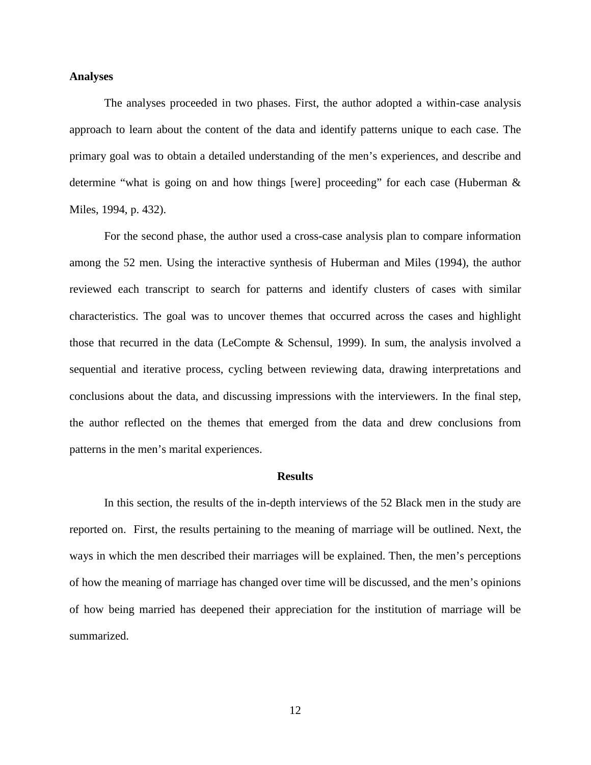#### **Analyses**

The analyses proceeded in two phases. First, the author adopted a within-case analysis approach to learn about the content of the data and identify patterns unique to each case. The primary goal was to obtain a detailed understanding of the men's experiences, and describe and determine "what is going on and how things [were] proceeding" for each case (Huberman & Miles, 1994, p. 432).

For the second phase, the author used a cross-case analysis plan to compare information among the 52 men. Using the interactive synthesis of Huberman and Miles (1994), the author reviewed each transcript to search for patterns and identify clusters of cases with similar characteristics. The goal was to uncover themes that occurred across the cases and highlight those that recurred in the data (LeCompte & Schensul, 1999). In sum, the analysis involved a sequential and iterative process, cycling between reviewing data, drawing interpretations and conclusions about the data, and discussing impressions with the interviewers. In the final step, the author reflected on the themes that emerged from the data and drew conclusions from patterns in the men's marital experiences.

#### **Results**

In this section, the results of the in-depth interviews of the 52 Black men in the study are reported on. First, the results pertaining to the meaning of marriage will be outlined. Next, the ways in which the men described their marriages will be explained. Then, the men's perceptions of how the meaning of marriage has changed over time will be discussed, and the men's opinions of how being married has deepened their appreciation for the institution of marriage will be summarized.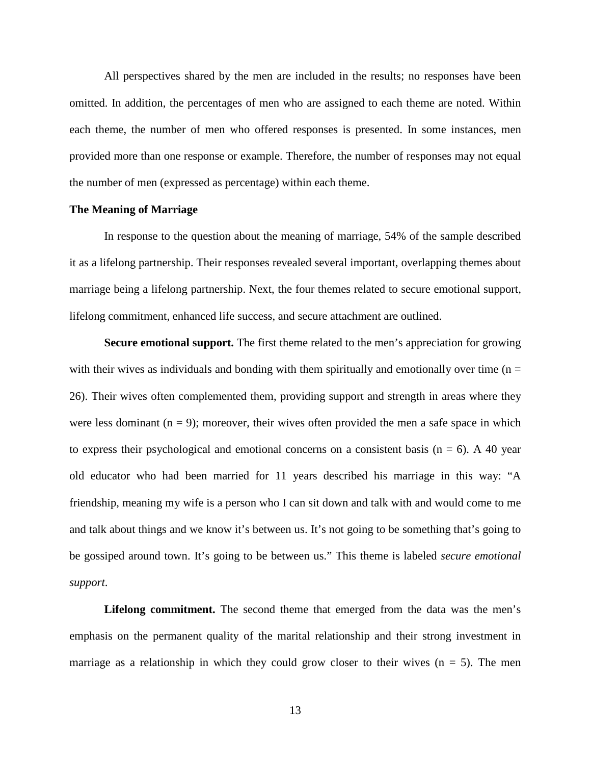All perspectives shared by the men are included in the results; no responses have been omitted. In addition, the percentages of men who are assigned to each theme are noted. Within each theme, the number of men who offered responses is presented. In some instances, men provided more than one response or example. Therefore, the number of responses may not equal the number of men (expressed as percentage) within each theme.

# **The Meaning of Marriage**

In response to the question about the meaning of marriage, 54% of the sample described it as a lifelong partnership. Their responses revealed several important, overlapping themes about marriage being a lifelong partnership. Next, the four themes related to secure emotional support, lifelong commitment, enhanced life success, and secure attachment are outlined.

**Secure emotional support.** The first theme related to the men's appreciation for growing with their wives as individuals and bonding with them spiritually and emotionally over time ( $n =$ 26). Their wives often complemented them, providing support and strength in areas where they were less dominant  $(n = 9)$ ; moreover, their wives often provided the men a safe space in which to express their psychological and emotional concerns on a consistent basis ( $n = 6$ ). A 40 year old educator who had been married for 11 years described his marriage in this way: "A friendship, meaning my wife is a person who I can sit down and talk with and would come to me and talk about things and we know it's between us. It's not going to be something that's going to be gossiped around town. It's going to be between us." This theme is labeled *secure emotional support*.

**Lifelong commitment.** The second theme that emerged from the data was the men's emphasis on the permanent quality of the marital relationship and their strong investment in marriage as a relationship in which they could grow closer to their wives  $(n = 5)$ . The men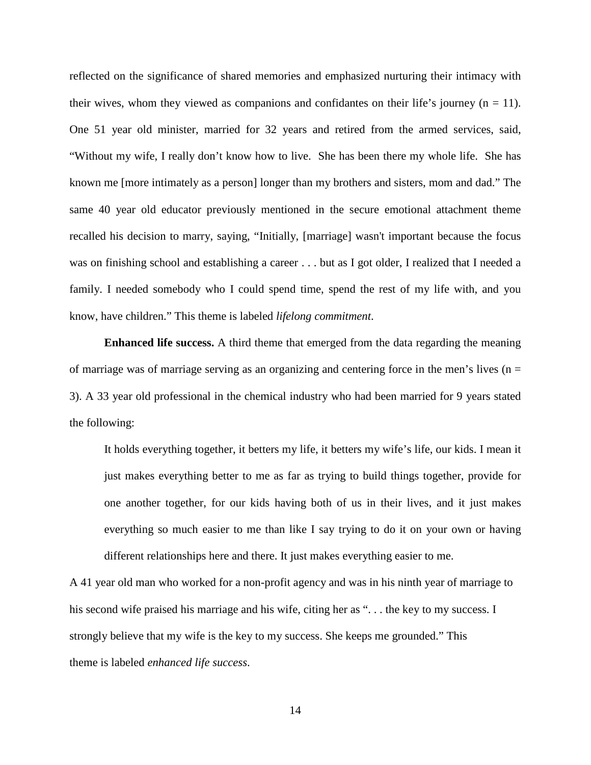reflected on the significance of shared memories and emphasized nurturing their intimacy with their wives, whom they viewed as companions and confidantes on their life's journey ( $n = 11$ ). One 51 year old minister, married for 32 years and retired from the armed services, said, "Without my wife, I really don't know how to live. She has been there my whole life. She has known me [more intimately as a person] longer than my brothers and sisters, mom and dad." The same 40 year old educator previously mentioned in the secure emotional attachment theme recalled his decision to marry, saying, "Initially, [marriage] wasn't important because the focus was on finishing school and establishing a career . . . but as I got older, I realized that I needed a family. I needed somebody who I could spend time, spend the rest of my life with, and you know, have children." This theme is labeled *lifelong commitment*.

**Enhanced life success.** A third theme that emerged from the data regarding the meaning of marriage was of marriage serving as an organizing and centering force in the men's lives ( $n =$ 3). A 33 year old professional in the chemical industry who had been married for 9 years stated the following:

It holds everything together, it betters my life, it betters my wife's life, our kids. I mean it just makes everything better to me as far as trying to build things together, provide for one another together, for our kids having both of us in their lives, and it just makes everything so much easier to me than like I say trying to do it on your own or having different relationships here and there. It just makes everything easier to me.

A 41 year old man who worked for a non-profit agency and was in his ninth year of marriage to his second wife praised his marriage and his wife, citing her as "... the key to my success. I strongly believe that my wife is the key to my success. She keeps me grounded." This theme is labeled *enhanced life success*.

14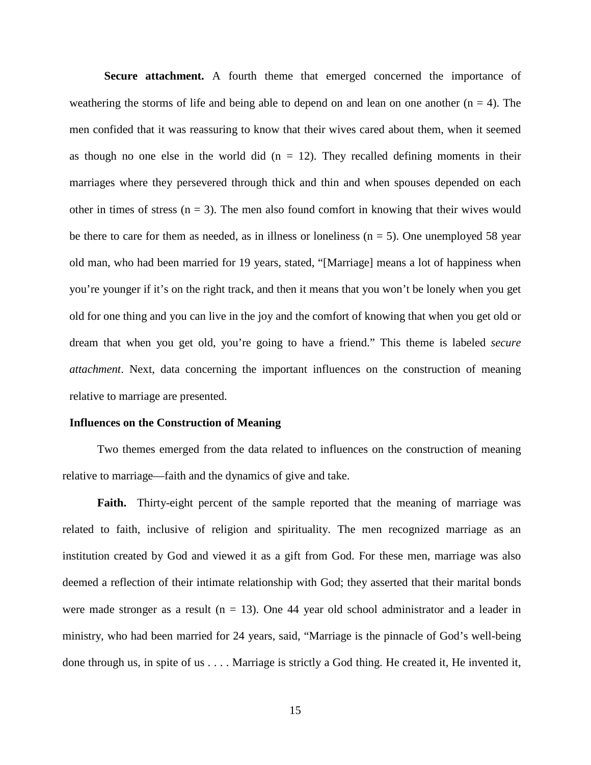**Secure attachment.** A fourth theme that emerged concerned the importance of weathering the storms of life and being able to depend on and lean on one another  $(n = 4)$ . The men confided that it was reassuring to know that their wives cared about them, when it seemed as though no one else in the world did  $(n = 12)$ . They recalled defining moments in their marriages where they persevered through thick and thin and when spouses depended on each other in times of stress  $(n = 3)$ . The men also found comfort in knowing that their wives would be there to care for them as needed, as in illness or loneliness  $(n = 5)$ . One unemployed 58 year old man, who had been married for 19 years, stated, "[Marriage] means a lot of happiness when you're younger if it's on the right track, and then it means that you won't be lonely when you get old for one thing and you can live in the joy and the comfort of knowing that when you get old or dream that when you get old, you're going to have a friend." This theme is labeled *secure attachment*. Next, data concerning the important influences on the construction of meaning relative to marriage are presented.

### **Influences on the Construction of Meaning**

Two themes emerged from the data related to influences on the construction of meaning relative to marriage—faith and the dynamics of give and take.

**Faith.** Thirty-eight percent of the sample reported that the meaning of marriage was related to faith, inclusive of religion and spirituality. The men recognized marriage as an institution created by God and viewed it as a gift from God. For these men, marriage was also deemed a reflection of their intimate relationship with God; they asserted that their marital bonds were made stronger as a result ( $n = 13$ ). One 44 year old school administrator and a leader in ministry, who had been married for 24 years, said, "Marriage is the pinnacle of God's well-being done through us, in spite of us . . . . Marriage is strictly a God thing. He created it, He invented it,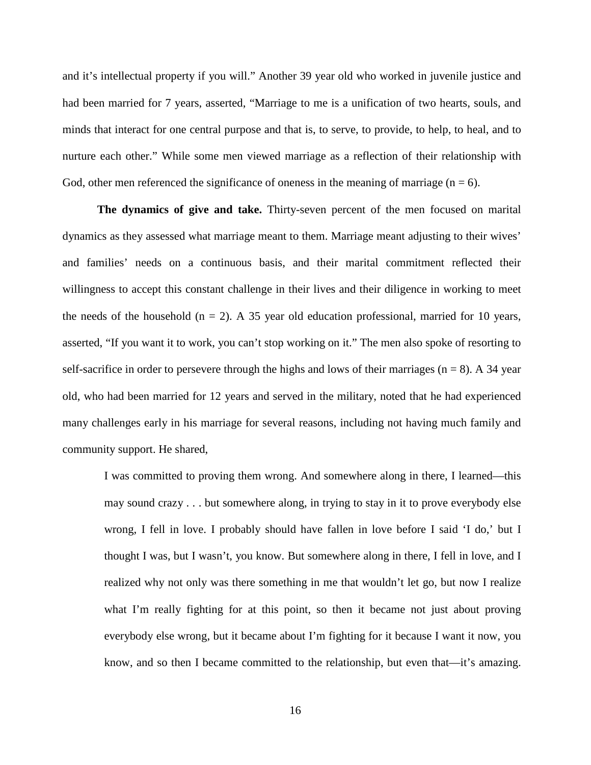and it's intellectual property if you will." Another 39 year old who worked in juvenile justice and had been married for 7 years, asserted, "Marriage to me is a unification of two hearts, souls, and minds that interact for one central purpose and that is, to serve, to provide, to help, to heal, and to nurture each other." While some men viewed marriage as a reflection of their relationship with God, other men referenced the significance of oneness in the meaning of marriage  $(n = 6)$ .

**The dynamics of give and take.** Thirty-seven percent of the men focused on marital dynamics as they assessed what marriage meant to them. Marriage meant adjusting to their wives' and families' needs on a continuous basis, and their marital commitment reflected their willingness to accept this constant challenge in their lives and their diligence in working to meet the needs of the household ( $n = 2$ ). A 35 year old education professional, married for 10 years, asserted, "If you want it to work, you can't stop working on it." The men also spoke of resorting to self-sacrifice in order to persevere through the highs and lows of their marriages ( $n = 8$ ). A 34 year old, who had been married for 12 years and served in the military, noted that he had experienced many challenges early in his marriage for several reasons, including not having much family and community support. He shared,

I was committed to proving them wrong. And somewhere along in there, I learned—this may sound crazy . . . but somewhere along, in trying to stay in it to prove everybody else wrong, I fell in love. I probably should have fallen in love before I said 'I do,' but I thought I was, but I wasn't, you know. But somewhere along in there, I fell in love, and I realized why not only was there something in me that wouldn't let go, but now I realize what I'm really fighting for at this point, so then it became not just about proving everybody else wrong, but it became about I'm fighting for it because I want it now, you know, and so then I became committed to the relationship, but even that—it's amazing.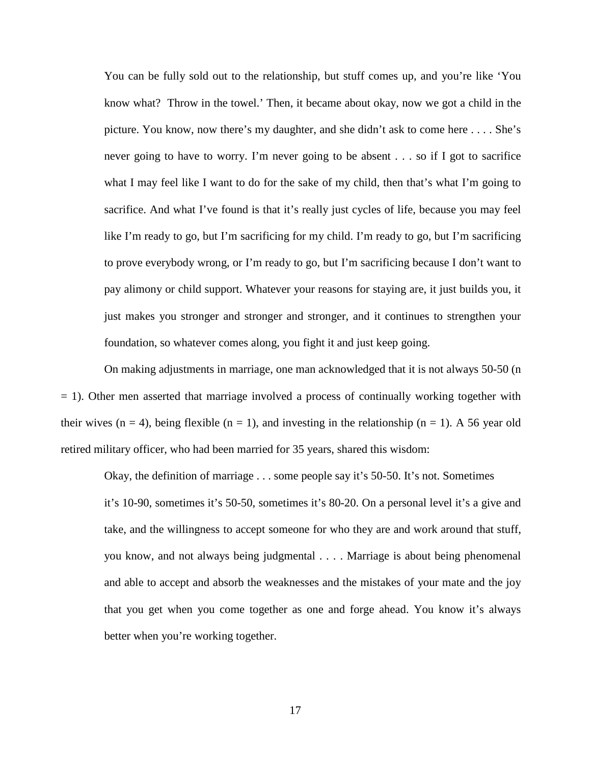You can be fully sold out to the relationship, but stuff comes up, and you're like 'You know what? Throw in the towel.' Then, it became about okay, now we got a child in the picture. You know, now there's my daughter, and she didn't ask to come here . . . . She's never going to have to worry. I'm never going to be absent . . . so if I got to sacrifice what I may feel like I want to do for the sake of my child, then that's what I'm going to sacrifice. And what I've found is that it's really just cycles of life, because you may feel like I'm ready to go, but I'm sacrificing for my child. I'm ready to go, but I'm sacrificing to prove everybody wrong, or I'm ready to go, but I'm sacrificing because I don't want to pay alimony or child support. Whatever your reasons for staying are, it just builds you, it just makes you stronger and stronger and stronger, and it continues to strengthen your foundation, so whatever comes along, you fight it and just keep going.

On making adjustments in marriage, one man acknowledged that it is not always 50-50 (n  $= 1$ ). Other men asserted that marriage involved a process of continually working together with their wives  $(n = 4)$ , being flexible  $(n = 1)$ , and investing in the relationship  $(n = 1)$ . A 56 year old retired military officer, who had been married for 35 years, shared this wisdom:

Okay, the definition of marriage . . . some people say it's 50-50. It's not. Sometimes it's 10-90, sometimes it's 50-50, sometimes it's 80-20. On a personal level it's a give and take, and the willingness to accept someone for who they are and work around that stuff, you know, and not always being judgmental . . . . Marriage is about being phenomenal and able to accept and absorb the weaknesses and the mistakes of your mate and the joy that you get when you come together as one and forge ahead. You know it's always better when you're working together.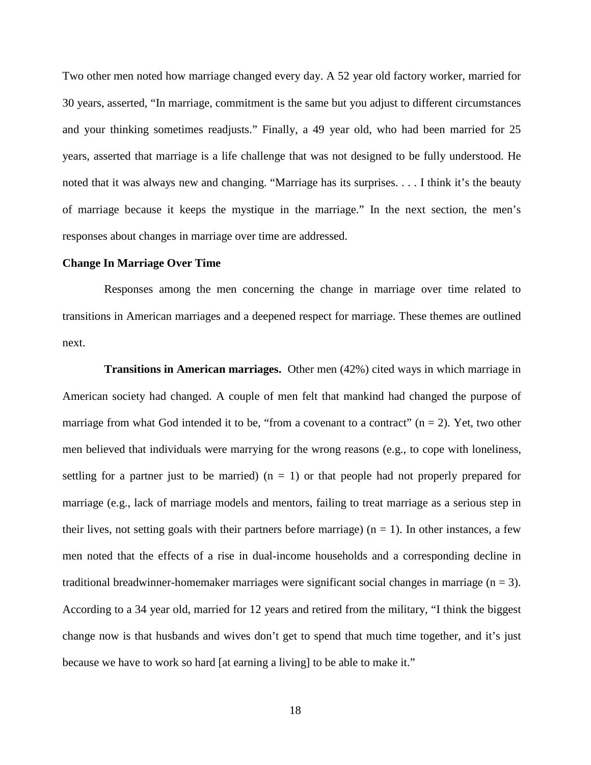Two other men noted how marriage changed every day. A 52 year old factory worker, married for 30 years, asserted, "In marriage, commitment is the same but you adjust to different circumstances and your thinking sometimes readjusts." Finally, a 49 year old, who had been married for 25 years, asserted that marriage is a life challenge that was not designed to be fully understood. He noted that it was always new and changing. "Marriage has its surprises. . . . I think it's the beauty of marriage because it keeps the mystique in the marriage." In the next section, the men's responses about changes in marriage over time are addressed.

# **Change In Marriage Over Time**

Responses among the men concerning the change in marriage over time related to transitions in American marriages and a deepened respect for marriage. These themes are outlined next.

**Transitions in American marriages.** Other men (42%) cited ways in which marriage in American society had changed. A couple of men felt that mankind had changed the purpose of marriage from what God intended it to be, "from a covenant to a contract"  $(n = 2)$ . Yet, two other men believed that individuals were marrying for the wrong reasons (e.g., to cope with loneliness, settling for a partner just to be married)  $(n = 1)$  or that people had not properly prepared for marriage (e.g., lack of marriage models and mentors, failing to treat marriage as a serious step in their lives, not setting goals with their partners before marriage)  $(n = 1)$ . In other instances, a few men noted that the effects of a rise in dual-income households and a corresponding decline in traditional breadwinner-homemaker marriages were significant social changes in marriage  $(n = 3)$ . According to a 34 year old, married for 12 years and retired from the military, "I think the biggest change now is that husbands and wives don't get to spend that much time together, and it's just because we have to work so hard [at earning a living] to be able to make it."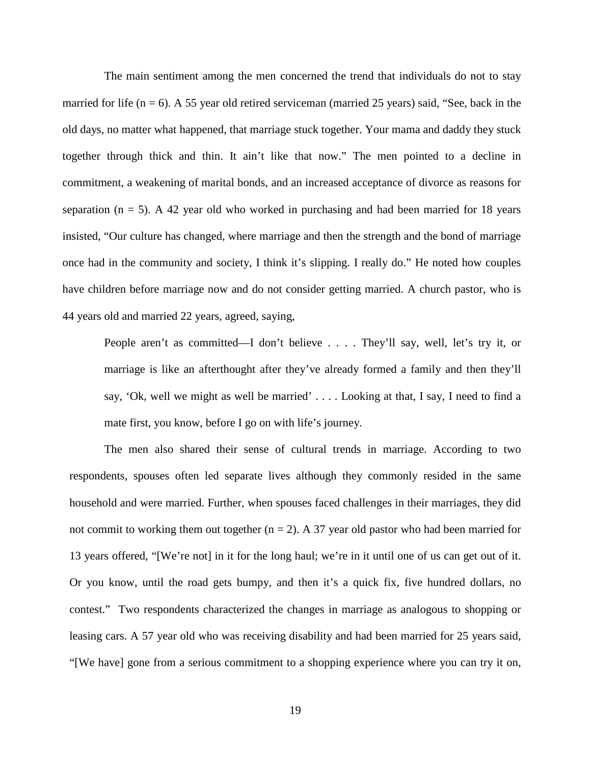The main sentiment among the men concerned the trend that individuals do not to stay married for life ( $n = 6$ ). A 55 year old retired serviceman (married 25 years) said, "See, back in the old days, no matter what happened, that marriage stuck together. Your mama and daddy they stuck together through thick and thin. It ain't like that now." The men pointed to a decline in commitment, a weakening of marital bonds, and an increased acceptance of divorce as reasons for separation ( $n = 5$ ). A 42 year old who worked in purchasing and had been married for 18 years insisted, "Our culture has changed, where marriage and then the strength and the bond of marriage once had in the community and society, I think it's slipping. I really do." He noted how couples have children before marriage now and do not consider getting married. A church pastor, who is 44 years old and married 22 years, agreed, saying,

People aren't as committed—I don't believe . . . . They'll say, well, let's try it, or marriage is like an afterthought after they've already formed a family and then they'll say, 'Ok, well we might as well be married' . . . . Looking at that, I say, I need to find a mate first, you know, before I go on with life's journey.

The men also shared their sense of cultural trends in marriage. According to two respondents, spouses often led separate lives although they commonly resided in the same household and were married. Further, when spouses faced challenges in their marriages, they did not commit to working them out together  $(n = 2)$ . A 37 year old pastor who had been married for 13 years offered, "[We're not] in it for the long haul; we're in it until one of us can get out of it. Or you know, until the road gets bumpy, and then it's a quick fix, five hundred dollars, no contest." Two respondents characterized the changes in marriage as analogous to shopping or leasing cars. A 57 year old who was receiving disability and had been married for 25 years said, "[We have] gone from a serious commitment to a shopping experience where you can try it on,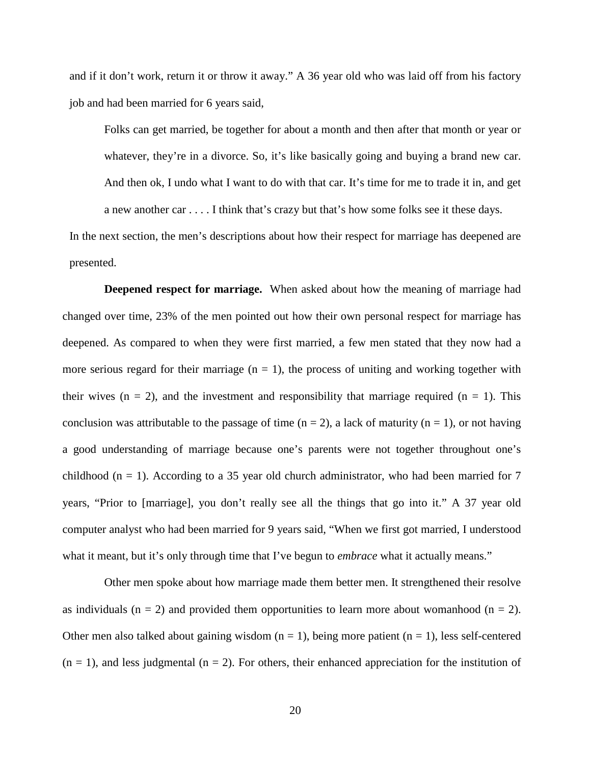and if it don't work, return it or throw it away." A 36 year old who was laid off from his factory job and had been married for 6 years said,

Folks can get married, be together for about a month and then after that month or year or whatever, they're in a divorce. So, it's like basically going and buying a brand new car. And then ok, I undo what I want to do with that car. It's time for me to trade it in, and get a new another car . . . . I think that's crazy but that's how some folks see it these days.

In the next section, the men's descriptions about how their respect for marriage has deepened are presented.

**Deepened respect for marriage.** When asked about how the meaning of marriage had changed over time, 23% of the men pointed out how their own personal respect for marriage has deepened. As compared to when they were first married, a few men stated that they now had a more serious regard for their marriage  $(n = 1)$ , the process of uniting and working together with their wives  $(n = 2)$ , and the investment and responsibility that marriage required  $(n = 1)$ . This conclusion was attributable to the passage of time  $(n = 2)$ , a lack of maturity  $(n = 1)$ , or not having a good understanding of marriage because one's parents were not together throughout one's childhood ( $n = 1$ ). According to a 35 year old church administrator, who had been married for 7 years, "Prior to [marriage], you don't really see all the things that go into it." A 37 year old computer analyst who had been married for 9 years said, "When we first got married, I understood what it meant, but it's only through time that I've begun to *embrace* what it actually means."

Other men spoke about how marriage made them better men. It strengthened their resolve as individuals ( $n = 2$ ) and provided them opportunities to learn more about womanhood ( $n = 2$ ). Other men also talked about gaining wisdom  $(n = 1)$ , being more patient  $(n = 1)$ , less self-centered  $(n = 1)$ , and less judgmental  $(n = 2)$ . For others, their enhanced appreciation for the institution of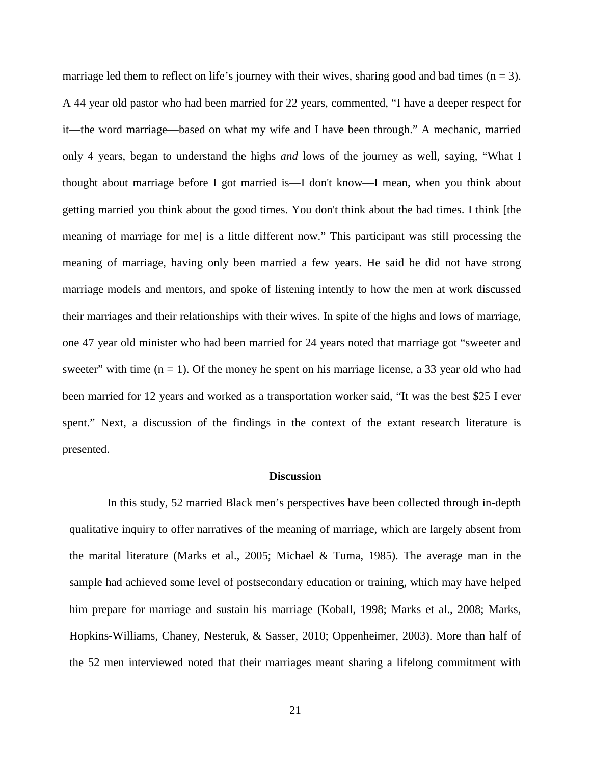marriage led them to reflect on life's journey with their wives, sharing good and bad times  $(n = 3)$ . A 44 year old pastor who had been married for 22 years, commented, "I have a deeper respect for it—the word marriage—based on what my wife and I have been through." A mechanic, married only 4 years, began to understand the highs *and* lows of the journey as well, saying, "What I thought about marriage before I got married is—I don't know—I mean, when you think about getting married you think about the good times. You don't think about the bad times. I think [the meaning of marriage for me] is a little different now." This participant was still processing the meaning of marriage, having only been married a few years. He said he did not have strong marriage models and mentors, and spoke of listening intently to how the men at work discussed their marriages and their relationships with their wives. In spite of the highs and lows of marriage, one 47 year old minister who had been married for 24 years noted that marriage got "sweeter and sweeter" with time  $(n = 1)$ . Of the money he spent on his marriage license, a 33 year old who had been married for 12 years and worked as a transportation worker said, "It was the best \$25 I ever spent." Next, a discussion of the findings in the context of the extant research literature is presented.

# **Discussion**

In this study, 52 married Black men's perspectives have been collected through in-depth qualitative inquiry to offer narratives of the meaning of marriage, which are largely absent from the marital literature (Marks et al., 2005; Michael & Tuma, 1985). The average man in the sample had achieved some level of postsecondary education or training, which may have helped him prepare for marriage and sustain his marriage (Koball, 1998; Marks et al., 2008; Marks, Hopkins-Williams, Chaney, Nesteruk, & Sasser, 2010; Oppenheimer, 2003). More than half of the 52 men interviewed noted that their marriages meant sharing a lifelong commitment with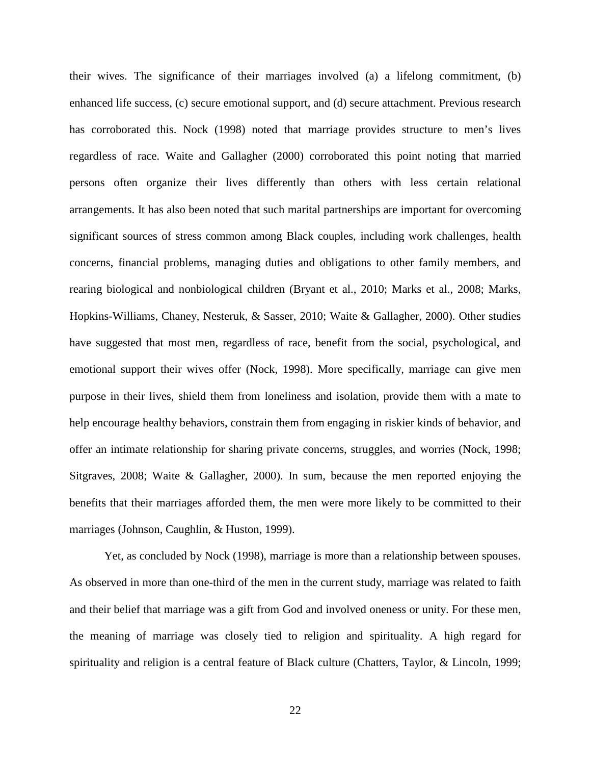their wives. The significance of their marriages involved (a) a lifelong commitment, (b) enhanced life success, (c) secure emotional support, and (d) secure attachment. Previous research has corroborated this. Nock (1998) noted that marriage provides structure to men's lives regardless of race. Waite and Gallagher (2000) corroborated this point noting that married persons often organize their lives differently than others with less certain relational arrangements. It has also been noted that such marital partnerships are important for overcoming significant sources of stress common among Black couples, including work challenges, health concerns, financial problems, managing duties and obligations to other family members, and rearing biological and nonbiological children (Bryant et al., 2010; Marks et al., 2008; Marks, Hopkins-Williams, Chaney, Nesteruk, & Sasser, 2010; Waite & Gallagher, 2000). Other studies have suggested that most men, regardless of race, benefit from the social, psychological, and emotional support their wives offer (Nock, 1998). More specifically, marriage can give men purpose in their lives, shield them from loneliness and isolation, provide them with a mate to help encourage healthy behaviors, constrain them from engaging in riskier kinds of behavior, and offer an intimate relationship for sharing private concerns, struggles, and worries (Nock, 1998; Sitgraves, 2008; Waite & Gallagher, 2000). In sum, because the men reported enjoying the benefits that their marriages afforded them, the men were more likely to be committed to their marriages (Johnson, Caughlin, & Huston, 1999).

Yet, as concluded by Nock (1998), marriage is more than a relationship between spouses. As observed in more than one-third of the men in the current study, marriage was related to faith and their belief that marriage was a gift from God and involved oneness or unity. For these men, the meaning of marriage was closely tied to religion and spirituality. A high regard for spirituality and religion is a central feature of Black culture (Chatters, Taylor, & Lincoln, 1999;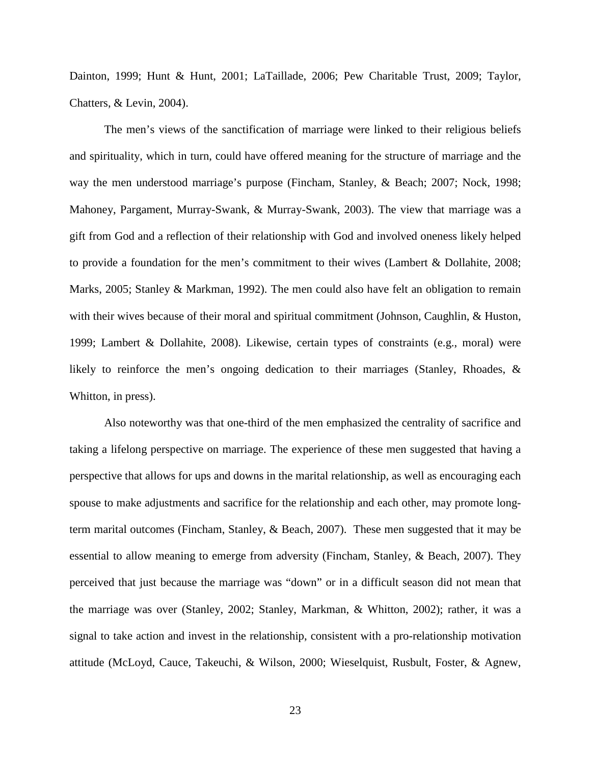Dainton, 1999; Hunt & Hunt, 2001; LaTaillade, 2006; Pew Charitable Trust, 2009; Taylor, Chatters, & Levin, 2004).

The men's views of the sanctification of marriage were linked to their religious beliefs and spirituality, which in turn, could have offered meaning for the structure of marriage and the way the men understood marriage's purpose (Fincham, Stanley, & Beach; 2007; Nock, 1998; Mahoney, Pargament, Murray-Swank, & Murray-Swank, 2003). The view that marriage was a gift from God and a reflection of their relationship with God and involved oneness likely helped to provide a foundation for the men's commitment to their wives (Lambert & Dollahite, 2008; Marks, 2005; Stanley & Markman, 1992). The men could also have felt an obligation to remain with their wives because of their moral and spiritual commitment (Johnson, Caughlin, & Huston, 1999; Lambert & Dollahite, 2008). Likewise, certain types of constraints (e.g., moral) were likely to reinforce the men's ongoing dedication to their marriages (Stanley, Rhoades, & Whitton, in press).

Also noteworthy was that one-third of the men emphasized the centrality of sacrifice and taking a lifelong perspective on marriage. The experience of these men suggested that having a perspective that allows for ups and downs in the marital relationship, as well as encouraging each spouse to make adjustments and sacrifice for the relationship and each other, may promote longterm marital outcomes (Fincham, Stanley, & Beach, 2007). These men suggested that it may be essential to allow meaning to emerge from adversity (Fincham, Stanley, & Beach, 2007). They perceived that just because the marriage was "down" or in a difficult season did not mean that the marriage was over (Stanley, 2002; Stanley, Markman, & Whitton, 2002); rather, it was a signal to take action and invest in the relationship, consistent with a pro-relationship motivation attitude (McLoyd, Cauce, Takeuchi, & Wilson, 2000; Wieselquist, Rusbult, Foster, & Agnew,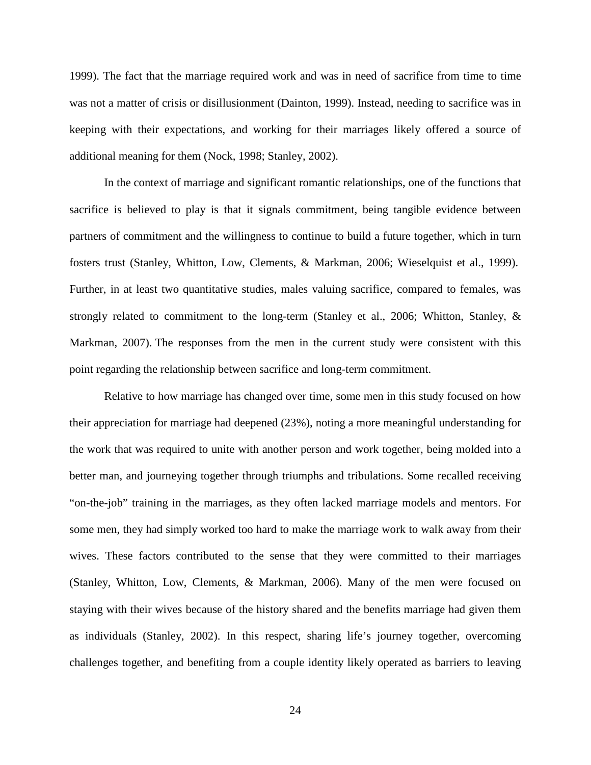1999). The fact that the marriage required work and was in need of sacrifice from time to time was not a matter of crisis or disillusionment (Dainton, 1999). Instead, needing to sacrifice was in keeping with their expectations, and working for their marriages likely offered a source of additional meaning for them (Nock, 1998; Stanley, 2002).

In the context of marriage and significant romantic relationships, one of the functions that sacrifice is believed to play is that it signals commitment, being tangible evidence between partners of commitment and the willingness to continue to build a future together, which in turn fosters trust (Stanley, Whitton, Low, Clements, & Markman, 2006; Wieselquist et al., 1999). Further, in at least two quantitative studies, males valuing sacrifice, compared to females, was strongly related to commitment to the long-term (Stanley et al., 2006; Whitton, Stanley, & Markman, 2007). The responses from the men in the current study were consistent with this point regarding the relationship between sacrifice and long-term commitment.

Relative to how marriage has changed over time, some men in this study focused on how their appreciation for marriage had deepened (23%), noting a more meaningful understanding for the work that was required to unite with another person and work together, being molded into a better man, and journeying together through triumphs and tribulations. Some recalled receiving "on-the-job" training in the marriages, as they often lacked marriage models and mentors. For some men, they had simply worked too hard to make the marriage work to walk away from their wives. These factors contributed to the sense that they were committed to their marriages (Stanley, Whitton, Low, Clements, & Markman, 2006). Many of the men were focused on staying with their wives because of the history shared and the benefits marriage had given them as individuals (Stanley, 2002). In this respect, sharing life's journey together, overcoming challenges together, and benefiting from a couple identity likely operated as barriers to leaving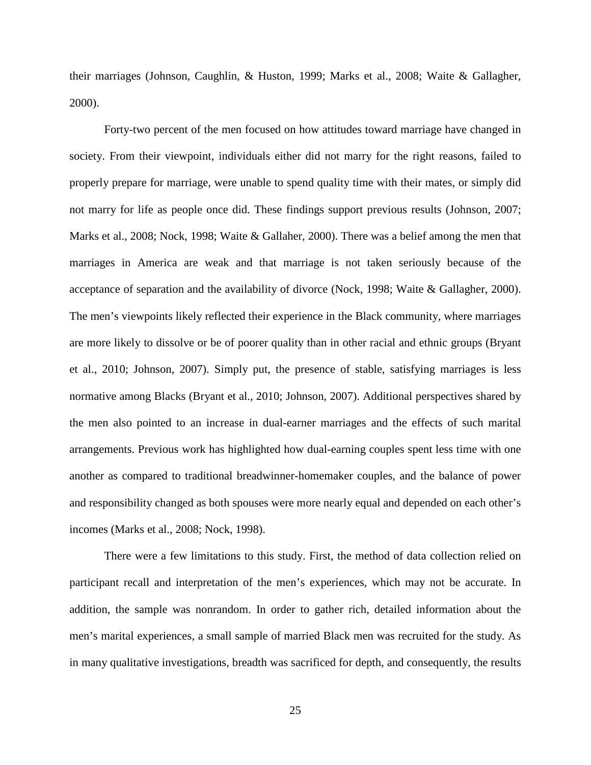their marriages (Johnson, Caughlin, & Huston, 1999; Marks et al., 2008; Waite & Gallagher, 2000).

Forty-two percent of the men focused on how attitudes toward marriage have changed in society. From their viewpoint, individuals either did not marry for the right reasons, failed to properly prepare for marriage, were unable to spend quality time with their mates, or simply did not marry for life as people once did. These findings support previous results (Johnson, 2007; Marks et al., 2008; Nock, 1998; Waite & Gallaher, 2000). There was a belief among the men that marriages in America are weak and that marriage is not taken seriously because of the acceptance of separation and the availability of divorce (Nock, 1998; Waite & Gallagher, 2000). The men's viewpoints likely reflected their experience in the Black community, where marriages are more likely to dissolve or be of poorer quality than in other racial and ethnic groups (Bryant et al., 2010; Johnson, 2007). Simply put, the presence of stable, satisfying marriages is less normative among Blacks (Bryant et al., 2010; Johnson, 2007). Additional perspectives shared by the men also pointed to an increase in dual-earner marriages and the effects of such marital arrangements. Previous work has highlighted how dual-earning couples spent less time with one another as compared to traditional breadwinner-homemaker couples, and the balance of power and responsibility changed as both spouses were more nearly equal and depended on each other's incomes (Marks et al., 2008; Nock, 1998).

There were a few limitations to this study. First, the method of data collection relied on participant recall and interpretation of the men's experiences, which may not be accurate. In addition, the sample was nonrandom. In order to gather rich, detailed information about the men's marital experiences, a small sample of married Black men was recruited for the study. As in many qualitative investigations, breadth was sacrificed for depth, and consequently, the results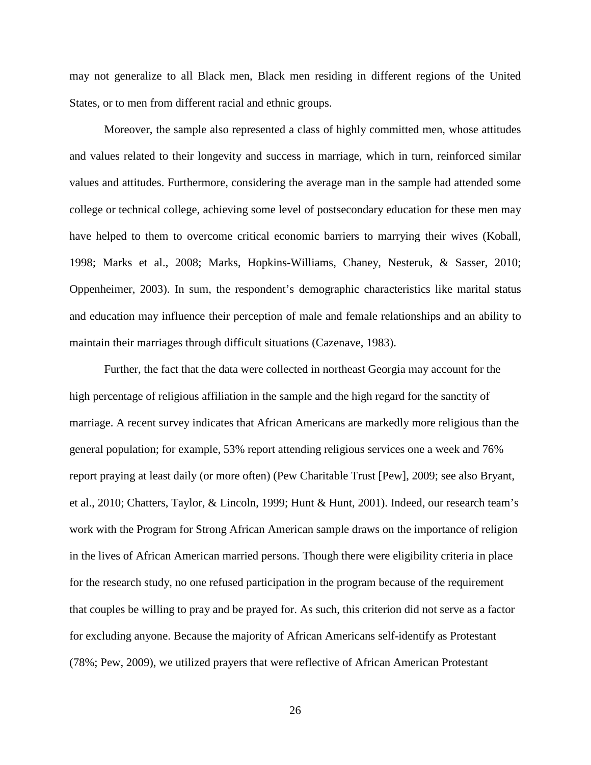may not generalize to all Black men, Black men residing in different regions of the United States, or to men from different racial and ethnic groups.

Moreover, the sample also represented a class of highly committed men, whose attitudes and values related to their longevity and success in marriage, which in turn, reinforced similar values and attitudes. Furthermore, considering the average man in the sample had attended some college or technical college, achieving some level of postsecondary education for these men may have helped to them to overcome critical economic barriers to marrying their wives (Koball, 1998; Marks et al., 2008; Marks, Hopkins-Williams, Chaney, Nesteruk, & Sasser, 2010; Oppenheimer, 2003). In sum, the respondent's demographic characteristics like marital status and education may influence their perception of male and female relationships and an ability to maintain their marriages through difficult situations (Cazenave, 1983).

Further, the fact that the data were collected in northeast Georgia may account for the high percentage of religious affiliation in the sample and the high regard for the sanctity of marriage. A recent survey indicates that African Americans are markedly more religious than the general population; for example, 53% report attending religious services one a week and 76% report praying at least daily (or more often) (Pew Charitable Trust [Pew], 2009; see also Bryant, et al., 2010; Chatters, Taylor, & Lincoln, 1999; Hunt & Hunt, 2001). Indeed, our research team's work with the Program for Strong African American sample draws on the importance of religion in the lives of African American married persons. Though there were eligibility criteria in place for the research study, no one refused participation in the program because of the requirement that couples be willing to pray and be prayed for. As such, this criterion did not serve as a factor for excluding anyone. Because the majority of African Americans self-identify as Protestant (78%; Pew, 2009), we utilized prayers that were reflective of African American Protestant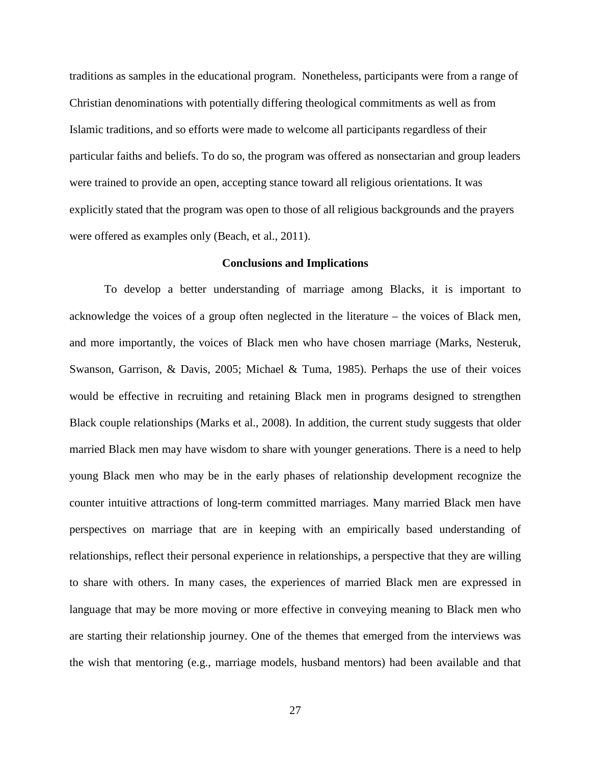traditions as samples in the educational program. Nonetheless, participants were from a range of Christian denominations with potentially differing theological commitments as well as from Islamic traditions, and so efforts were made to welcome all participants regardless of their particular faiths and beliefs. To do so, the program was offered as nonsectarian and group leaders were trained to provide an open, accepting stance toward all religious orientations. It was explicitly stated that the program was open to those of all religious backgrounds and the prayers were offered as examples only (Beach, et al., 2011).

#### **Conclusions and Implications**

To develop a better understanding of marriage among Blacks, it is important to acknowledge the voices of a group often neglected in the literature – the voices of Black men, and more importantly, the voices of Black men who have chosen marriage (Marks, Nesteruk, Swanson, Garrison, & Davis, 2005; Michael & Tuma, 1985). Perhaps the use of their voices would be effective in recruiting and retaining Black men in programs designed to strengthen Black couple relationships (Marks et al., 2008). In addition, the current study suggests that older married Black men may have wisdom to share with younger generations. There is a need to help young Black men who may be in the early phases of relationship development recognize the counter intuitive attractions of long-term committed marriages. Many married Black men have perspectives on marriage that are in keeping with an empirically based understanding of relationships, reflect their personal experience in relationships, a perspective that they are willing to share with others. In many cases, the experiences of married Black men are expressed in language that may be more moving or more effective in conveying meaning to Black men who are starting their relationship journey. One of the themes that emerged from the interviews was the wish that mentoring (e.g., marriage models, husband mentors) had been available and that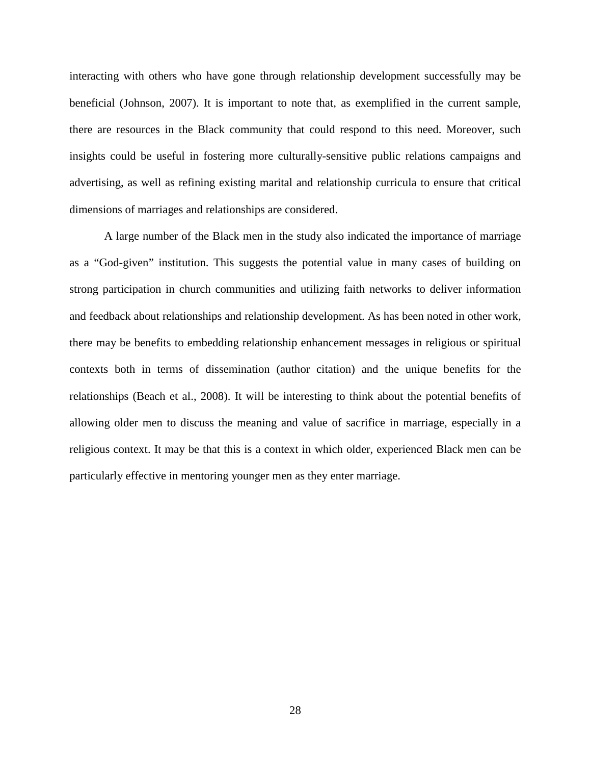interacting with others who have gone through relationship development successfully may be beneficial (Johnson, 2007). It is important to note that, as exemplified in the current sample, there are resources in the Black community that could respond to this need. Moreover, such insights could be useful in fostering more culturally-sensitive public relations campaigns and advertising, as well as refining existing marital and relationship curricula to ensure that critical dimensions of marriages and relationships are considered.

A large number of the Black men in the study also indicated the importance of marriage as a "God-given" institution. This suggests the potential value in many cases of building on strong participation in church communities and utilizing faith networks to deliver information and feedback about relationships and relationship development. As has been noted in other work, there may be benefits to embedding relationship enhancement messages in religious or spiritual contexts both in terms of dissemination (author citation) and the unique benefits for the relationships (Beach et al., 2008). It will be interesting to think about the potential benefits of allowing older men to discuss the meaning and value of sacrifice in marriage, especially in a religious context. It may be that this is a context in which older, experienced Black men can be particularly effective in mentoring younger men as they enter marriage.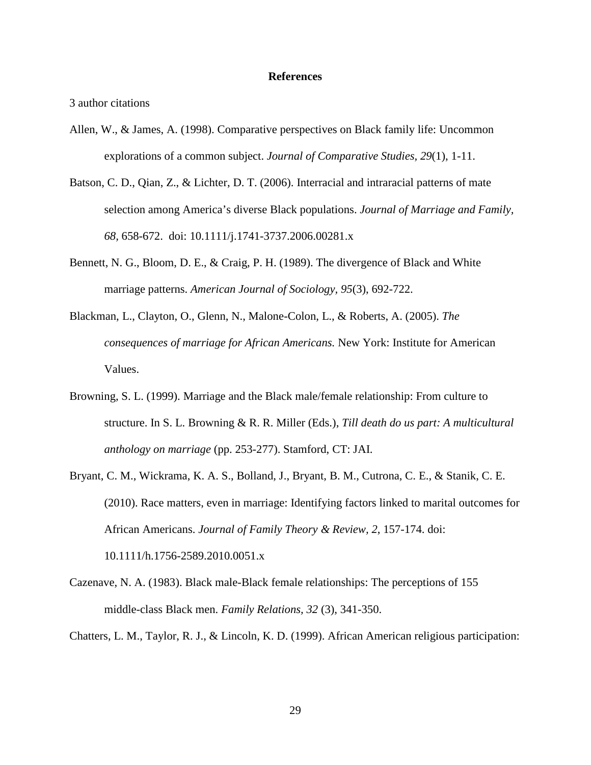# **References**

3 author citations

- Allen, W., & James, A. (1998). Comparative perspectives on Black family life: Uncommon explorations of a common subject. *Journal of Comparative Studies, 29*(1), 1-11.
- Batson, C. D., Qian, Z., & Lichter, D. T. (2006). Interracial and intraracial patterns of mate selection among America's diverse Black populations. *Journal of Marriage and Family, 68,* 658-672. doi: 10.1111/j.1741-3737.2006.00281.x
- Bennett, N. G., Bloom, D. E., & Craig, P. H. (1989). The divergence of Black and White marriage patterns. *American Journal of Sociology, 95*(3), 692-722.
- Blackman, L., Clayton, O., Glenn, N., Malone-Colon, L., & Roberts, A. (2005). *The consequences of marriage for African Americans.* New York: Institute for American Values.
- Browning, S. L. (1999). Marriage and the Black male/female relationship: From culture to structure. In S. L. Browning & R. R. Miller (Eds.), *Till death do us part: A multicultural anthology on marriage* (pp. 253-277). Stamford, CT: JAI.
- Bryant, C. M., Wickrama, K. A. S., Bolland, J., Bryant, B. M., Cutrona, C. E., & Stanik, C. E. (2010). Race matters, even in marriage: Identifying factors linked to marital outcomes for African Americans. *Journal of Family Theory & Review, 2*, 157-174. doi: 10.1111/h.1756-2589.2010.0051.x
- Cazenave, N. A. (1983). Black male-Black female relationships: The perceptions of 155 middle-class Black men. *Family Relations, 32* (3), 341-350.
- Chatters, L. M., Taylor, R. J., & Lincoln, K. D. (1999). African American religious participation: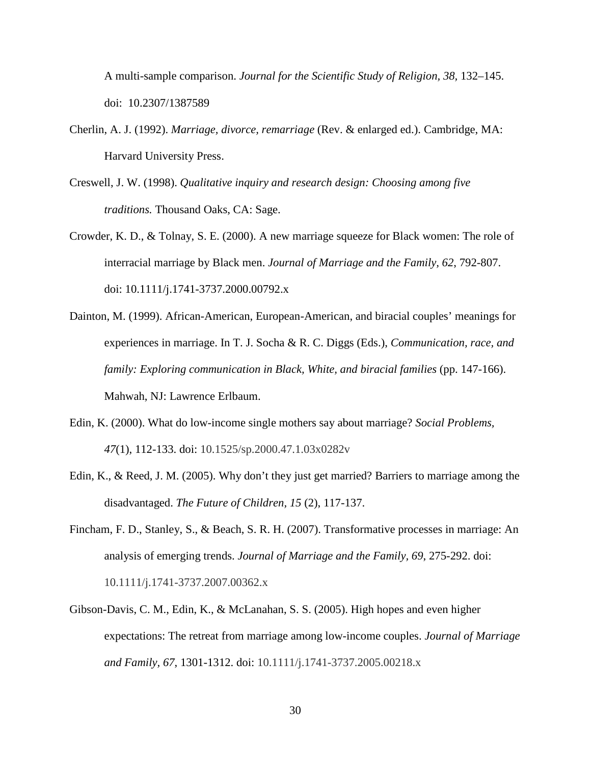A multi-sample comparison. *Journal for the Scientific Study of Religion, 38,* 132–145. doi: 10.2307/1387589

- Cherlin, A. J. (1992). *Marriage, divorce, remarriage* (Rev. & enlarged ed.). Cambridge, MA: Harvard University Press.
- Creswell, J. W. (1998). *Qualitative inquiry and research design: Choosing among five traditions.* Thousand Oaks, CA: Sage.
- Crowder, K. D., & Tolnay, S. E. (2000). A new marriage squeeze for Black women: The role of interracial marriage by Black men. *Journal of Marriage and the Family, 62*, 792-807. doi: 10.1111/j.1741-3737.2000.00792.x
- Dainton, M. (1999). African-American, European-American, and biracial couples' meanings for experiences in marriage. In T. J. Socha & R. C. Diggs (Eds.), *Communication, race, and family: Exploring communication in Black, White, and biracial families (pp. 147-166).* Mahwah, NJ: Lawrence Erlbaum.
- Edin, K. (2000). What do low-income single mothers say about marriage? *Social Problems, 47*(1), 112-133. doi: 10.1525/sp.2000.47.1.03x0282v
- Edin, K., & Reed, J. M. (2005). Why don't they just get married? Barriers to marriage among the disadvantaged. *The Future of Children, 15* (2), 117-137.
- Fincham, F. D., Stanley, S., & Beach, S. R. H. (2007). Transformative processes in marriage: An analysis of emerging trends. *Journal of Marriage and the Family, 69*, 275-292. doi: 10.1111/j.1741-3737.2007.00362.x
- Gibson-Davis, C. M., Edin, K., & McLanahan, S. S. (2005). High hopes and even higher expectations: The retreat from marriage among low-income couples. *Journal of Marriage and Family, 67*, 1301-1312. doi: 10.1111/j.1741-3737.2005.00218.x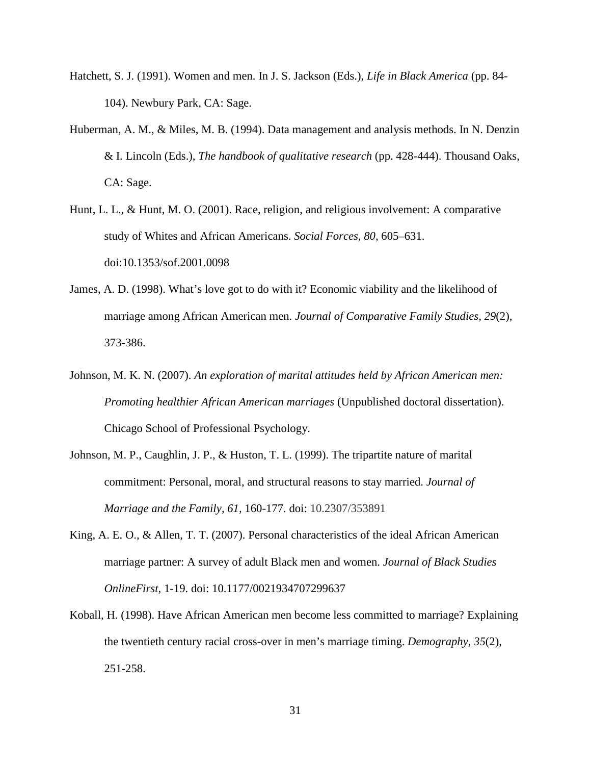- Hatchett, S. J. (1991). Women and men. In J. S. Jackson (Eds.), *Life in Black America* (pp. 84- 104). Newbury Park, CA: Sage.
- Huberman, A. M., & Miles, M. B. (1994). Data management and analysis methods. In N. Denzin & I. Lincoln (Eds.), *The handbook of qualitative research* (pp. 428-444). Thousand Oaks, CA: Sage.
- Hunt, L. L., & Hunt, M. O. (2001). Race, religion, and religious involvement: A comparative study of Whites and African Americans. *Social Forces, 80,* 605–631. doi:10.1353/sof.2001.0098
- James, A. D. (1998). What's love got to do with it? Economic viability and the likelihood of marriage among African American men. *Journal of Comparative Family Studies, 29*(2), 373-386.
- Johnson, M. K. N. (2007). *An exploration of marital attitudes held by African American men: Promoting healthier African American marriages* (Unpublished doctoral dissertation). Chicago School of Professional Psychology.
- Johnson, M. P., Caughlin, J. P., & Huston, T. L. (1999). The tripartite nature of marital commitment: Personal, moral, and structural reasons to stay married. *Journal of Marriage and the Family, 61,* 160-177. doi: 10.2307/353891
- King, A. E. O., & Allen, T. T. (2007). Personal characteristics of the ideal African American marriage partner: A survey of adult Black men and women. *Journal of Black Studies OnlineFirst,* 1-19. doi: 10.1177/0021934707299637
- Koball, H. (1998). Have African American men become less committed to marriage? Explaining the twentieth century racial cross-over in men's marriage timing. *Demography, 35*(2), 251-258.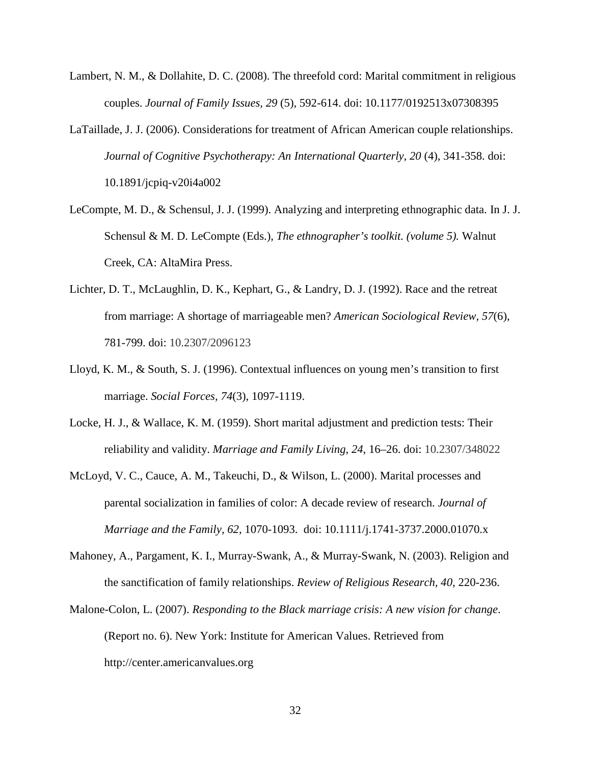- Lambert, N. M., & Dollahite, D. C. (2008). The threefold cord: Marital commitment in religious couples. *Journal of Family Issues, 29* (5), 592-614. doi: 10.1177/0192513x07308395
- LaTaillade, J. J. (2006). Considerations for treatment of African American couple relationships. *Journal of Cognitive Psychotherapy: An International Quarterly, 20 (4), 341-358. doi:* 10.1891/jcpiq-v20i4a002
- LeCompte, M. D., & Schensul, J. J. (1999). Analyzing and interpreting ethnographic data. In J. J. Schensul & M. D. LeCompte (Eds.), *The ethnographer's toolkit. (volume 5).* Walnut Creek, CA: AltaMira Press.
- Lichter, D. T., McLaughlin, D. K., Kephart, G., & Landry, D. J. (1992). Race and the retreat from marriage: A shortage of marriageable men? *American Sociological Review, 57*(6), 781-799. doi: 10.2307/2096123
- Lloyd, K. M., & South, S. J. (1996). Contextual influences on young men's transition to first marriage. *Social Forces, 74*(3), 1097-1119.
- Locke, H. J., & Wallace, K. M. (1959). Short marital adjustment and prediction tests: Their reliability and validity. *Marriage and Family Living*, *24*, 16–26. doi: 10.2307/348022
- McLoyd, V. C., Cauce, A. M., Takeuchi, D., & Wilson, L. (2000). Marital processes and parental socialization in families of color: A decade review of research. *Journal of Marriage and the Family, 62,* 1070-1093. doi: 10.1111/j.1741-3737.2000.01070.x
- Mahoney, A., Pargament, K. I., Murray-Swank, A., & Murray-Swank, N. (2003). Religion and the sanctification of family relationships. *Review of Religious Research, 40,* 220-236.
- Malone-Colon, L. (2007). *Responding to the Black marriage crisis: A new vision for change*. (Report no. 6). New York: Institute for American Values. Retrieved from http://center.americanvalues.org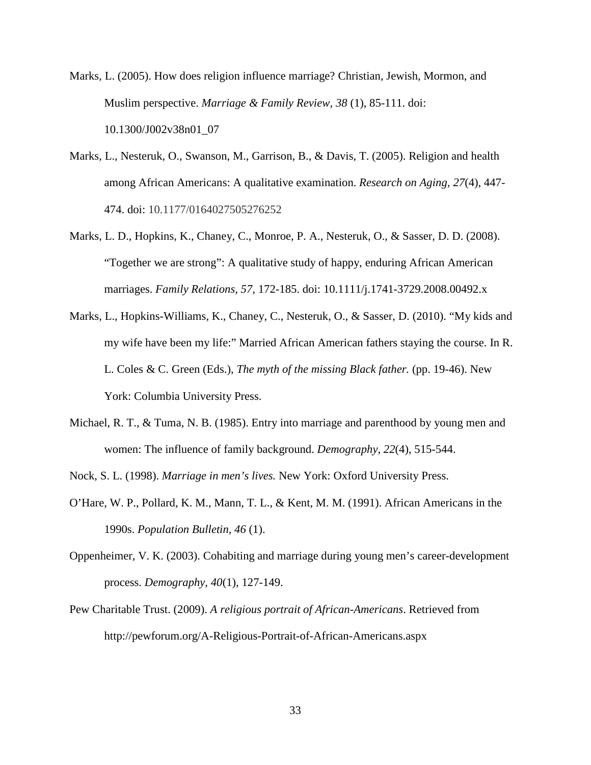Marks, L. (2005). How does religion influence marriage? Christian, Jewish, Mormon, and Muslim perspective. *Marriage & Family Review, 38* (1), 85-111. doi: 10.1300/J002v38n01\_07

- Marks, L., Nesteruk, O., Swanson, M., Garrison, B., & Davis, T. (2005). Religion and health among African Americans: A qualitative examination. *Research on Aging, 27*(4), 447- 474. doi: 10.1177/0164027505276252
- Marks, L. D., Hopkins, K., Chaney, C., Monroe, P. A., Nesteruk, O., & Sasser, D. D. (2008). "Together we are strong": A qualitative study of happy, enduring African American marriages. *Family Relations, 57,* 172-185. doi: 10.1111/j.1741-3729.2008.00492.x
- Marks, L., Hopkins-Williams, K., Chaney, C., Nesteruk, O., & Sasser, D. (2010). "My kids and my wife have been my life:" Married African American fathers staying the course. In R. L. Coles & C. Green (Eds.), *The myth of the missing Black father.* (pp. 19-46). New York: Columbia University Press.
- Michael, R. T., & Tuma, N. B. (1985). Entry into marriage and parenthood by young men and women: The influence of family background. *Demography, 22*(4), 515-544.
- Nock, S. L. (1998). *Marriage in men's lives.* New York: Oxford University Press.
- O'Hare, W. P., Pollard, K. M., Mann, T. L., & Kent, M. M. (1991). African Americans in the 1990s. *Population Bulletin, 46* (1).
- Oppenheimer, V. K. (2003). Cohabiting and marriage during young men's career-development process. *Demography, 40*(1), 127-149.
- Pew Charitable Trust. (2009). *A religious portrait of African-Americans*. Retrieved from http://pewforum.org/A-Religious-Portrait-of-African-Americans.aspx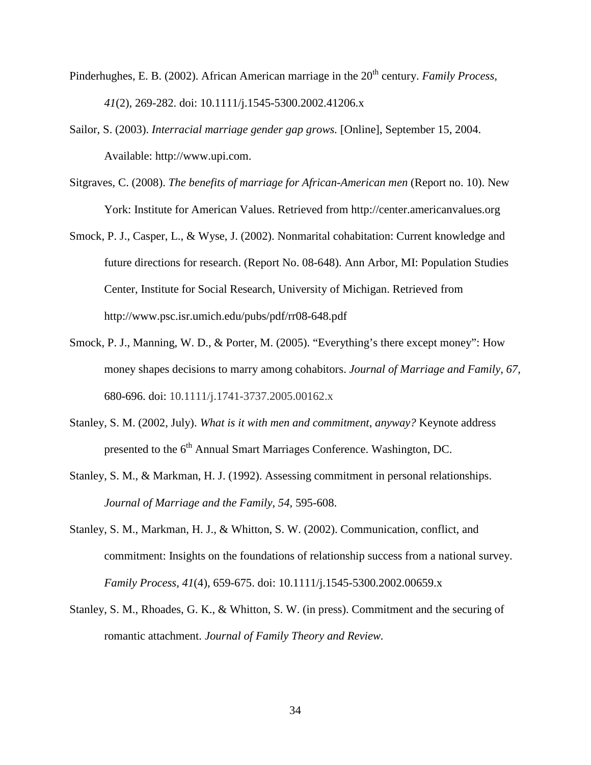- Pinderhughes, E. B. (2002). African American marriage in the 20<sup>th</sup> century. *Family Process*, *41*(2), 269-282. doi: 10.1111/j.1545-5300.2002.41206.x
- Sailor, S. (2003). *Interracial marriage gender gap grows.* [Online], September 15, 2004. Available: http://www.upi.com.
- Sitgraves, C. (2008). *The benefits of marriage for African-American men* (Report no. 10). New York: Institute for American Values. Retrieved from http://center.americanvalues.org
- Smock, P. J., Casper, L., & Wyse, J. (2002). Nonmarital cohabitation: Current knowledge and future directions for research. (Report No. 08-648). Ann Arbor, MI: Population Studies Center, Institute for Social Research, University of Michigan. Retrieved from http://www.psc.isr.umich.edu/pubs/pdf/rr08-648.pdf
- Smock, P. J., Manning, W. D., & Porter, M. (2005). "Everything's there except money": How money shapes decisions to marry among cohabitors. *Journal of Marriage and Family, 67,*  680-696. doi: 10.1111/j.1741-3737.2005.00162.x
- Stanley, S. M. (2002, July). *What is it with men and commitment, anyway?* Keynote address presented to the  $6<sup>th</sup>$  Annual Smart Marriages Conference. Washington, DC.
- Stanley, S. M., & Markman, H. J. (1992). Assessing commitment in personal relationships. *Journal of Marriage and the Family, 54,* 595-608.
- Stanley, S. M., Markman, H. J., & Whitton, S. W. (2002). Communication, conflict, and commitment: Insights on the foundations of relationship success from a national survey. *Family Process, 41*(4), 659-675. doi: 10.1111/j.1545-5300.2002.00659.x
- Stanley, S. M., Rhoades, G. K., & Whitton, S. W. (in press). Commitment and the securing of romantic attachment. *Journal of Family Theory and Review.*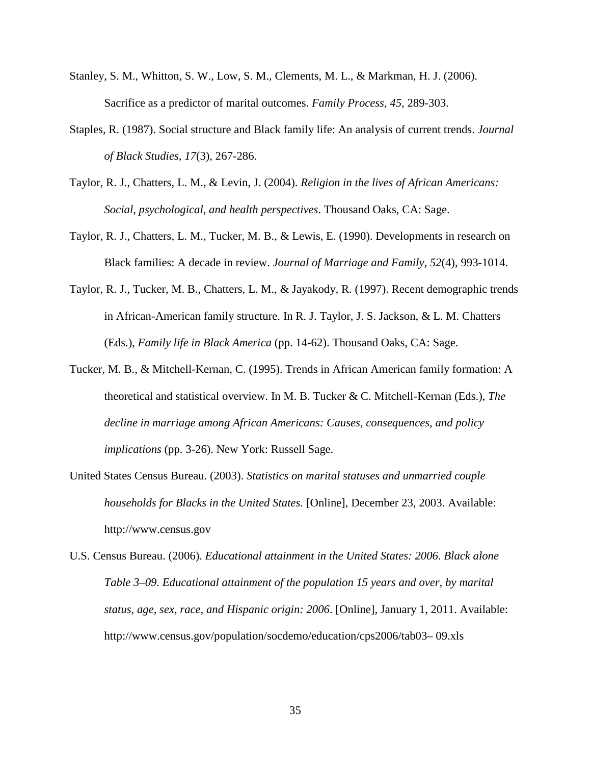- Stanley, S. M., Whitton, S. W., Low, S. M., Clements, M. L., & Markman, H. J. (2006). Sacrifice as a predictor of marital outcomes. *Family Process, 45,* 289-303.
- Staples, R. (1987). Social structure and Black family life: An analysis of current trends. *Journal of Black Studies, 17*(3), 267-286.
- Taylor, R. J., Chatters, L. M., & Levin, J. (2004). *Religion in the lives of African Americans: Social, psychological, and health perspectives*. Thousand Oaks, CA: Sage.
- Taylor, R. J., Chatters, L. M., Tucker, M. B., & Lewis, E. (1990). Developments in research on Black families: A decade in review. *Journal of Marriage and Family, 52*(4), 993-1014.
- Taylor, R. J., Tucker, M. B., Chatters, L. M., & Jayakody, R. (1997). Recent demographic trends in African-American family structure. In R. J. Taylor, J. S. Jackson, & L. M. Chatters (Eds.), *Family life in Black America* (pp. 14-62). Thousand Oaks, CA: Sage.
- Tucker, M. B., & Mitchell-Kernan, C. (1995). Trends in African American family formation: A theoretical and statistical overview. In M. B. Tucker & C. Mitchell-Kernan (Eds.), *The decline in marriage among African Americans: Causes, consequences, and policy implications* (pp. 3-26). New York: Russell Sage.
- United States Census Bureau. (2003). *Statistics on marital statuses and unmarried couple households for Blacks in the United States.* [Online], December 23, 2003. Available: http://www.census.gov
- U.S. Census Bureau. (2006). *Educational attainment in the United States: 2006. Black alone Table 3–09. Educational attainment of the population 15 years and over, by marital status, age, sex, race, and Hispanic origin: 2006*. [Online], January 1, 2011. Available: http://www.census.gov/population/socdemo/education/cps2006/tab03– 09.xls